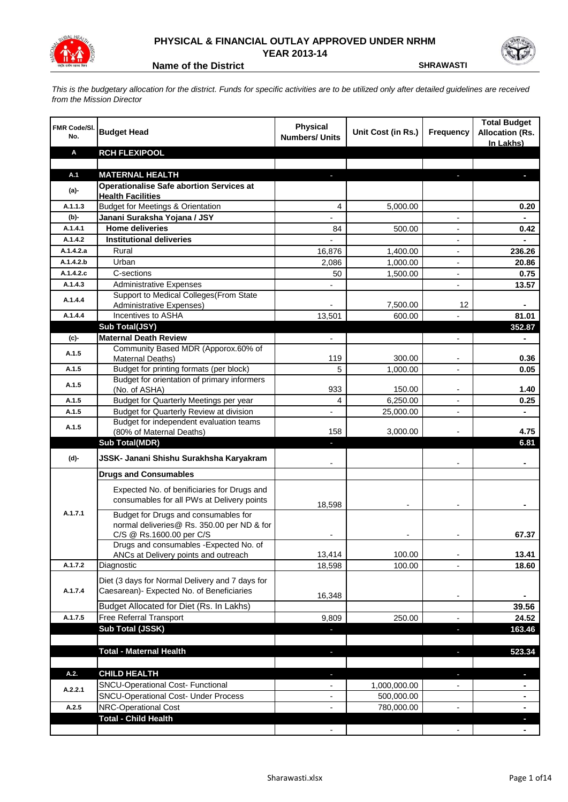

## **PHYSICAL & FINANCIAL OUTLAY APPROVED UNDER NRHM YEAR 2013-14**

**Name of the District SHRAWASTI** 

*This is the budgetary allocation for the district. Funds for specific activities are to be utilized only after detailed guidelines are received from the Mission Director*

| FMR Code/SI.<br>No. | <b>Budget Head</b>                                                          | <b>Physical</b><br><b>Numbers/ Units</b> | Unit Cost (in Rs.) | <b>Frequency</b>         | <b>Total Budget</b><br><b>Allocation (Rs.</b><br>In Lakhs) |
|---------------------|-----------------------------------------------------------------------------|------------------------------------------|--------------------|--------------------------|------------------------------------------------------------|
| Α                   | <b>RCH FLEXIPOOL</b>                                                        |                                          |                    |                          |                                                            |
|                     |                                                                             |                                          |                    |                          |                                                            |
| A.1                 | <b>MATERNAL HEALTH</b>                                                      |                                          |                    |                          |                                                            |
| (a)-                | <b>Operationalise Safe abortion Services at</b><br><b>Health Facilities</b> |                                          |                    |                          |                                                            |
| A.1.1.3             | <b>Budget for Meetings &amp; Orientation</b>                                | 4                                        | 5,000.00           |                          | 0.20                                                       |
| (b)-                | Janani Suraksha Yojana / JSY                                                |                                          |                    |                          |                                                            |
| A.1.4.1             | <b>Home deliveries</b>                                                      | 84                                       | 500.00             |                          | 0.42                                                       |
| A.1.4.2             | <b>Institutional deliveries</b>                                             |                                          |                    |                          |                                                            |
| A.1.4.2.a           | Rural                                                                       | 16,876                                   | 1,400.00           | $\blacksquare$           | 236.26                                                     |
| A.1.4.2.b           | Urban                                                                       | 2,086                                    | 1,000.00           | $\overline{a}$           | 20.86                                                      |
| A.1.4.2.c           | C-sections                                                                  | 50                                       | 1,500.00           | $\blacksquare$           | 0.75                                                       |
| A.1.4.3             | <b>Administrative Expenses</b>                                              |                                          |                    | $\overline{\phantom{a}}$ | 13.57                                                      |
| A.1.4.4             | Support to Medical Colleges (From State                                     |                                          |                    |                          |                                                            |
|                     | <b>Administrative Expenses)</b>                                             |                                          | 7,500.00           | 12                       |                                                            |
| A.1.4.4             | Incentives to ASHA                                                          | 13,501                                   | 600.00             |                          | 81.01                                                      |
|                     | <b>Sub Total(JSY)</b><br><b>Maternal Death Review</b>                       |                                          |                    |                          | 352.87                                                     |
| (c)-                | Community Based MDR (Apporox.60% of                                         | $\overline{\phantom{0}}$                 |                    | -                        |                                                            |
| A.1.5               | Maternal Deaths)                                                            | 119                                      | 300.00             |                          | 0.36                                                       |
| A.1.5               | Budget for printing formats (per block)                                     | 5                                        | 1,000.00           |                          | 0.05                                                       |
| A.1.5               | Budget for orientation of primary informers                                 |                                          |                    |                          |                                                            |
|                     | (No. of ASHA)                                                               | 933                                      | 150.00             | $\blacksquare$           | 1.40                                                       |
| A.1.5               | Budget for Quarterly Meetings per year                                      | 4                                        | 6,250.00           |                          | 0.25                                                       |
| A.1.5               | Budget for Quarterly Review at division                                     | $\overline{a}$                           | 25,000.00          |                          | ٠                                                          |
| A.1.5               | Budget for independent evaluation teams<br>(80% of Maternal Deaths)         | 158                                      | 3,000.00           |                          | 4.75                                                       |
|                     | <b>Sub Total(MDR)</b>                                                       |                                          |                    |                          | 6.81                                                       |
|                     |                                                                             |                                          |                    |                          |                                                            |
| (d)-                | JSSK- Janani Shishu Surakhsha Karyakram                                     |                                          |                    |                          |                                                            |
|                     | <b>Drugs and Consumables</b>                                                |                                          |                    |                          |                                                            |
|                     | Expected No. of benificiaries for Drugs and                                 |                                          |                    |                          |                                                            |
|                     | consumables for all PWs at Delivery points                                  | 18,598                                   |                    |                          |                                                            |
| A.1.7.1             | Budget for Drugs and consumables for                                        |                                          |                    |                          |                                                            |
|                     | normal deliveries@ Rs. 350.00 per ND & for                                  |                                          |                    |                          |                                                            |
|                     | C/S @ Rs.1600.00 per C/S                                                    |                                          |                    |                          | 67.37                                                      |
|                     | Drugs and consumables - Expected No. of                                     |                                          |                    |                          |                                                            |
|                     | ANCs at Delivery points and outreach                                        | 13,414                                   | 100.00             |                          | 13.41                                                      |
| A.1.7.2             | Diagnostic                                                                  | 18,598                                   | 100.00             |                          | 18.60                                                      |
|                     | Diet (3 days for Normal Delivery and 7 days for                             |                                          |                    |                          |                                                            |
| A.1.7.4             | Caesarean)- Expected No. of Beneficiaries                                   | 16,348                                   |                    | $\overline{\phantom{a}}$ |                                                            |
|                     | Budget Allocated for Diet (Rs. In Lakhs)                                    |                                          |                    |                          | 39.56                                                      |
| A.1.7.5             | Free Referral Transport                                                     | 9,809                                    | 250.00             | $\overline{a}$           | 24.52                                                      |
|                     | Sub Total (JSSK)                                                            |                                          |                    | J,                       | 163.46                                                     |
|                     |                                                                             |                                          |                    |                          |                                                            |
|                     | <b>Total - Maternal Health</b>                                              |                                          |                    |                          | 523.34                                                     |
|                     |                                                                             |                                          |                    |                          |                                                            |
| A.2.                | <b>CHILD HEALTH</b>                                                         |                                          |                    | J                        | T.                                                         |
| A.2.2.1             | SNCU-Operational Cost- Functional                                           |                                          | 1,000,000.00       |                          |                                                            |
|                     | <b>SNCU-Operational Cost- Under Process</b>                                 |                                          | 500,000.00         |                          |                                                            |
| A.2.5               | NRC-Operational Cost<br><b>Total - Child Health</b>                         |                                          | 780,000.00         |                          |                                                            |
|                     |                                                                             |                                          |                    |                          |                                                            |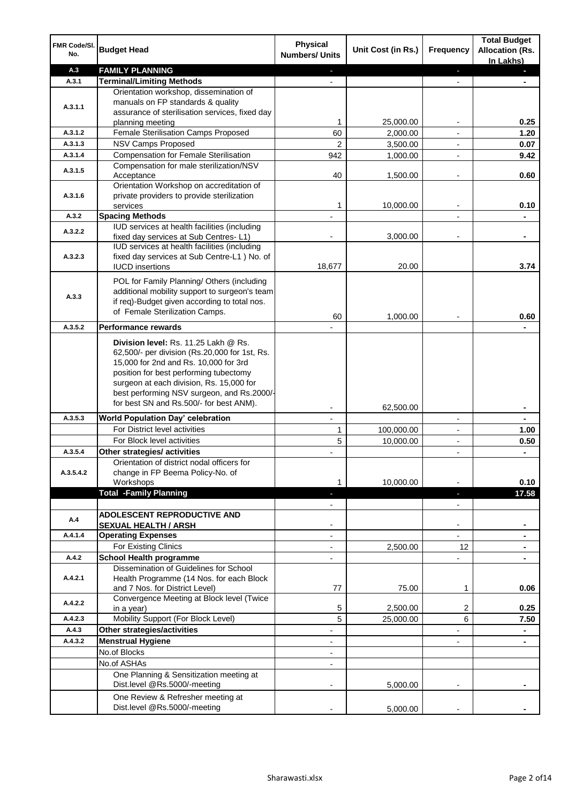| FMR Code/SI.<br>No. | <b>Budget Head</b>                                                                 | <b>Physical</b><br><b>Numbers/ Units</b> | Unit Cost (in Rs.) | Frequency                     | <b>Total Budget</b><br><b>Allocation (Rs.</b><br>In Lakhs) |
|---------------------|------------------------------------------------------------------------------------|------------------------------------------|--------------------|-------------------------------|------------------------------------------------------------|
| A.3                 | <b>FAMILY PLANNING</b>                                                             | $\sim$                                   |                    | ÷                             | a.                                                         |
| A.3.1               | <b>Terminal/Limiting Methods</b>                                                   |                                          |                    |                               |                                                            |
|                     | Orientation workshop, dissemination of                                             |                                          |                    |                               |                                                            |
|                     | manuals on FP standards & quality                                                  |                                          |                    |                               |                                                            |
| A.3.1.1             | assurance of sterilisation services, fixed day                                     |                                          |                    |                               |                                                            |
|                     | planning meeting                                                                   | 1                                        | 25,000.00          | $\overline{\phantom{a}}$      | 0.25                                                       |
| A.3.1.2             | Female Sterilisation Camps Proposed                                                | 60                                       | 2,000.00           | $\overline{\phantom{a}}$      | 1.20                                                       |
| A.3.1.3             | <b>NSV Camps Proposed</b>                                                          | $\overline{2}$                           | 3,500.00           |                               | 0.07                                                       |
| A.3.1.4             | <b>Compensation for Female Sterilisation</b>                                       | 942                                      | 1,000.00           | $\overline{\phantom{a}}$      | 9.42                                                       |
| A.3.1.5             | Compensation for male sterilization/NSV                                            |                                          |                    |                               |                                                            |
|                     | Acceptance                                                                         | 40                                       | 1,500.00           |                               | 0.60                                                       |
|                     | Orientation Workshop on accreditation of                                           |                                          |                    |                               |                                                            |
| A.3.1.6             | private providers to provide sterilization                                         | 1                                        | 10,000.00          |                               | 0.10                                                       |
| A.3.2               | services<br><b>Spacing Methods</b>                                                 |                                          |                    | $\overline{\phantom{a}}$      |                                                            |
|                     | IUD services at health facilities (including                                       |                                          |                    |                               |                                                            |
| A.3.2.2             | fixed day services at Sub Centres-L1)                                              | $\blacksquare$                           | 3,000.00           | $\overline{\phantom{a}}$      | ۰                                                          |
|                     | IUD services at health facilities (including                                       |                                          |                    |                               |                                                            |
| A.3.2.3             | fixed day services at Sub Centre-L1 ) No. of                                       |                                          |                    |                               |                                                            |
|                     | <b>IUCD</b> insertions                                                             | 18,677                                   | 20.00              |                               | 3.74                                                       |
|                     | POL for Family Planning/ Others (including                                         |                                          |                    |                               |                                                            |
|                     | additional mobility support to surgeon's team                                      |                                          |                    |                               |                                                            |
| A.3.3               | if req)-Budget given according to total nos.                                       |                                          |                    |                               |                                                            |
|                     | of Female Sterilization Camps.                                                     |                                          |                    |                               |                                                            |
| A.3.5.2             | <b>Performance rewards</b>                                                         | 60                                       | 1,000.00           |                               | 0.60                                                       |
|                     |                                                                                    |                                          |                    |                               |                                                            |
|                     | Division level: Rs. 11.25 Lakh @ Rs.                                               |                                          |                    |                               |                                                            |
|                     | 62,500/- per division (Rs.20,000 for 1st, Rs.                                      |                                          |                    |                               |                                                            |
|                     | 15,000 for 2nd and Rs. 10,000 for 3rd                                              |                                          |                    |                               |                                                            |
|                     | position for best performing tubectomy<br>surgeon at each division, Rs. 15,000 for |                                          |                    |                               |                                                            |
|                     | best performing NSV surgeon, and Rs.2000/-                                         |                                          |                    |                               |                                                            |
|                     | for best SN and Rs.500/- for best ANM).                                            |                                          |                    |                               |                                                            |
|                     |                                                                                    |                                          | 62,500.00          |                               |                                                            |
| A.3.5.3             | <b>World Population Day' celebration</b>                                           |                                          |                    |                               |                                                            |
|                     | For District level activities                                                      | 1                                        | 100,000.00         |                               | 1.00                                                       |
|                     | For Block level activities                                                         | 5                                        | 10,000.00          | $\blacksquare$                | 0.50                                                       |
| A.3.5.4             | Other strategies/ activities                                                       |                                          |                    |                               |                                                            |
|                     | Orientation of district nodal officers for                                         |                                          |                    |                               |                                                            |
| A.3.5.4.2           | change in FP Beema Policy-No. of                                                   | 1                                        | 10,000.00          |                               | 0.10                                                       |
|                     | Workshops<br><b>Total -Family Planning</b>                                         | $\overline{\phantom{a}}$                 |                    |                               | 17.58                                                      |
|                     |                                                                                    | $\overline{\phantom{0}}$                 |                    | ٠<br>$\overline{\phantom{a}}$ |                                                            |
|                     | <b>ADOLESCENT REPRODUCTIVE AND</b>                                                 |                                          |                    |                               |                                                            |
| A.4                 | <b>SEXUAL HEALTH / ARSH</b>                                                        |                                          |                    | $\overline{\phantom{a}}$      |                                                            |
| A.4.1.4             | <b>Operating Expenses</b>                                                          |                                          |                    |                               |                                                            |
|                     | For Existing Clinics                                                               |                                          | 2,500.00           | 12                            |                                                            |
| A.4.2               | <b>School Health programme</b>                                                     |                                          |                    |                               |                                                            |
|                     | Dissemination of Guidelines for School                                             |                                          |                    |                               |                                                            |
| A.4.2.1             | Health Programme (14 Nos. for each Block                                           |                                          |                    |                               |                                                            |
|                     | and 7 Nos. for District Level)                                                     | 77                                       | 75.00              | 1                             | 0.06                                                       |
| A.4.2.2             | Convergence Meeting at Block level (Twice                                          |                                          |                    |                               |                                                            |
|                     | in a year)                                                                         | 5                                        | 2,500.00           | 2                             | 0.25                                                       |
| A.4.2.3             | Mobility Support (For Block Level)                                                 | 5                                        | 25,000.00          | 6                             | 7.50                                                       |
| A.4.3               | Other strategies/activities                                                        | -                                        |                    | -                             |                                                            |
| A.4.3.2             | <b>Menstrual Hygiene</b>                                                           | $\overline{\phantom{a}}$                 |                    | $\overline{\phantom{a}}$      | $\blacksquare$                                             |
|                     | No.of Blocks                                                                       | -                                        |                    |                               |                                                            |
|                     | No.of ASHAs                                                                        | $\overline{\phantom{a}}$                 |                    |                               |                                                            |
|                     | One Planning & Sensitization meeting at                                            |                                          |                    |                               |                                                            |
|                     | Dist.level @Rs.5000/-meeting                                                       |                                          | 5,000.00           |                               |                                                            |
|                     | One Review & Refresher meeting at                                                  |                                          |                    |                               |                                                            |
|                     | Dist.level @Rs.5000/-meeting                                                       |                                          | 5,000.00           |                               |                                                            |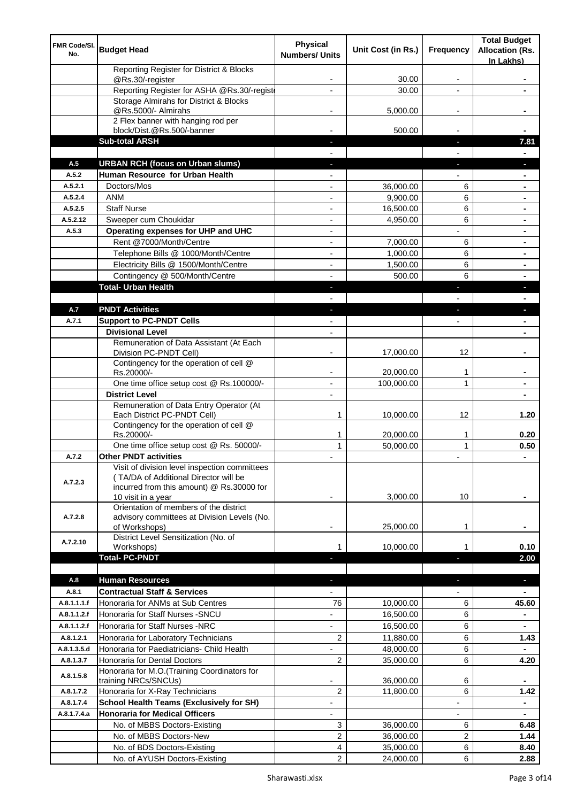| FMR Code/SI.<br>No.  | <b>Budget Head</b>                                                       | <b>Physical</b><br><b>Numbers/ Units</b> | Unit Cost (in Rs.)     | <b>Frequency</b>         | <b>Total Budget</b><br><b>Allocation (Rs.</b><br>In Lakhs) |
|----------------------|--------------------------------------------------------------------------|------------------------------------------|------------------------|--------------------------|------------------------------------------------------------|
|                      | Reporting Register for District & Blocks<br>@Rs.30/-register             |                                          | 30.00                  |                          |                                                            |
|                      | Reporting Register for ASHA @Rs.30/-regist                               |                                          | 30.00                  | $\blacksquare$           |                                                            |
|                      | Storage Almirahs for District & Blocks                                   |                                          |                        |                          |                                                            |
|                      | @Rs.5000/- Almirahs                                                      | $\overline{\phantom{a}}$                 | 5,000.00               | $\overline{\phantom{a}}$ |                                                            |
|                      | 2 Flex banner with hanging rod per<br>block/Dist.@Rs.500/-banner         |                                          | 500.00                 |                          |                                                            |
|                      | <b>Sub-total ARSH</b>                                                    |                                          |                        |                          | 7.81                                                       |
|                      |                                                                          |                                          |                        |                          |                                                            |
| A.5                  | <b>URBAN RCH (focus on Urban slums)</b>                                  |                                          |                        |                          |                                                            |
| A.5.2                | Human Resource for Urban Health                                          |                                          |                        |                          |                                                            |
| A.5.2.1              | Doctors/Mos                                                              |                                          | 36,000.00              | 6                        |                                                            |
| A.5.2.4              | <b>ANM</b>                                                               |                                          | 9,900.00               | 6                        |                                                            |
| A.5.2.5              | <b>Staff Nurse</b>                                                       | ٠                                        | 16,500.00              | 6                        |                                                            |
| A.5.2.12             | Sweeper cum Choukidar                                                    | ٠                                        | 4,950.00               | 6                        | $\blacksquare$                                             |
| A.5.3                | Operating expenses for UHP and UHC                                       | $\blacksquare$                           |                        | $\overline{a}$           | $\blacksquare$                                             |
|                      | Rent @7000/Month/Centre                                                  | $\blacksquare$                           | 7,000.00               | 6                        | ٠                                                          |
|                      | Telephone Bills @ 1000/Month/Centre                                      | $\overline{\phantom{a}}$                 | 1,000.00               | 6                        | $\blacksquare$                                             |
|                      | Electricity Bills @ 1500/Month/Centre                                    | $\blacksquare$                           | 1,500.00               | 6                        | ۰                                                          |
|                      | Contingency @ 500/Month/Centre                                           |                                          | 500.00                 | 6                        |                                                            |
|                      | <b>Total- Urban Health</b>                                               | J,                                       |                        | ÷,                       | L                                                          |
| A.7                  | <b>PNDT Activities</b>                                                   |                                          |                        |                          |                                                            |
| A.7.1                | <b>Support to PC-PNDT Cells</b>                                          | ٠                                        |                        | ٠                        |                                                            |
|                      | <b>Divisional Level</b>                                                  |                                          |                        |                          |                                                            |
|                      | Remuneration of Data Assistant (At Each                                  |                                          |                        |                          |                                                            |
|                      | Division PC-PNDT Cell)<br>Contingency for the operation of cell @        |                                          | 17,000.00              | 12                       |                                                            |
|                      | Rs.20000/-                                                               |                                          | 20,000.00              | 1                        |                                                            |
|                      | One time office setup cost @ Rs.100000/-                                 |                                          | 100,000.00             | $\mathbf{1}$             |                                                            |
|                      | <b>District Level</b>                                                    |                                          |                        |                          |                                                            |
|                      | Remuneration of Data Entry Operator (At<br>Each District PC-PNDT Cell)   | 1                                        | 10,000.00              | 12                       | 1.20                                                       |
|                      | Contingency for the operation of cell @                                  |                                          |                        |                          |                                                            |
|                      | Rs.20000/-                                                               | 1                                        | 20,000.00              | 1                        | 0.20                                                       |
| A.7.2                | One time office setup cost @ Rs. 50000/-<br><b>Other PNDT activities</b> | 1                                        | 50,000.00              | 1                        | 0.50                                                       |
|                      | Visit of division level inspection committees                            |                                          |                        |                          | ۰                                                          |
| A.7.2.3              | (TA/DA of Additional Director will be                                    |                                          |                        |                          |                                                            |
|                      | incurred from this amount) @ Rs.30000 for                                |                                          |                        |                          |                                                            |
|                      | 10 visit in a year<br>Orientation of members of the district             |                                          | 3,000.00               | 10                       |                                                            |
| A.7.2.8              | advisory committees at Division Levels (No.                              |                                          |                        |                          |                                                            |
|                      | of Workshops)                                                            |                                          | 25,000.00              | 1                        |                                                            |
| A.7.2.10             | District Level Sensitization (No. of                                     |                                          |                        |                          |                                                            |
|                      | Workshops)                                                               |                                          | 10,000.00              | 1                        | 0.10                                                       |
|                      | <b>Total- PC-PNDT</b>                                                    |                                          |                        |                          | 2.00                                                       |
|                      |                                                                          |                                          |                        |                          |                                                            |
| A.8                  | <b>Human Resources</b><br><b>Contractual Staff &amp; Services</b>        |                                          |                        | ۳                        | a,                                                         |
| A.8.1<br>A.8.1.1.1.f | Honoraria for ANMs at Sub Centres                                        | 76                                       |                        | 6                        |                                                            |
| A.8.1.1.2.f          | Honoraria for Staff Nurses - SNCU                                        | $\overline{\phantom{0}}$                 | 10,000.00<br>16,500.00 | 6                        | 45.60                                                      |
| A.8.1.1.2.f          | Honoraria for Staff Nurses -NRC                                          | $\overline{\phantom{0}}$                 | 16,500.00              | 6                        |                                                            |
| A.8.1.2.1            | Honoraria for Laboratory Technicians                                     | $\overline{2}$                           | 11,880.00              | 6                        | 1.43                                                       |
| A.8.1.3.5.d          | Honoraria for Paediatricians- Child Health                               |                                          | 48,000.00              | 6                        |                                                            |
| A.8.1.3.7            | Honoraria for Dental Doctors                                             | 2                                        | 35,000.00              | 6                        | 4.20                                                       |
|                      | Honoraria for M.O.(Training Coordinators for                             |                                          |                        |                          |                                                            |
| A.8.1.5.8            | training NRCs/SNCUs)                                                     |                                          | 36,000.00              | 6                        |                                                            |
| A.8.1.7.2            | Honoraria for X-Ray Technicians                                          | 2                                        | 11,800.00              | 6                        | 1.42                                                       |
| A.8.1.7.4            | <b>School Health Teams (Exclusively for SH)</b>                          |                                          |                        | $\overline{a}$           |                                                            |
| A.8.1.7.4.a          | <b>Honoraria for Medical Officers</b>                                    |                                          |                        |                          |                                                            |
|                      | No. of MBBS Doctors-Existing                                             | 3                                        | 36,000.00              | 6                        | 6.48                                                       |
|                      | No. of MBBS Doctors-New                                                  | $\overline{2}$                           | 36,000.00              | $\overline{2}$           | 1.44                                                       |
|                      | No. of BDS Doctors-Existing                                              | 4                                        | 35,000.00              | 6                        | 8.40                                                       |
|                      | No. of AYUSH Doctors-Existing                                            | 2                                        | 24,000.00              | 6                        | 2.88                                                       |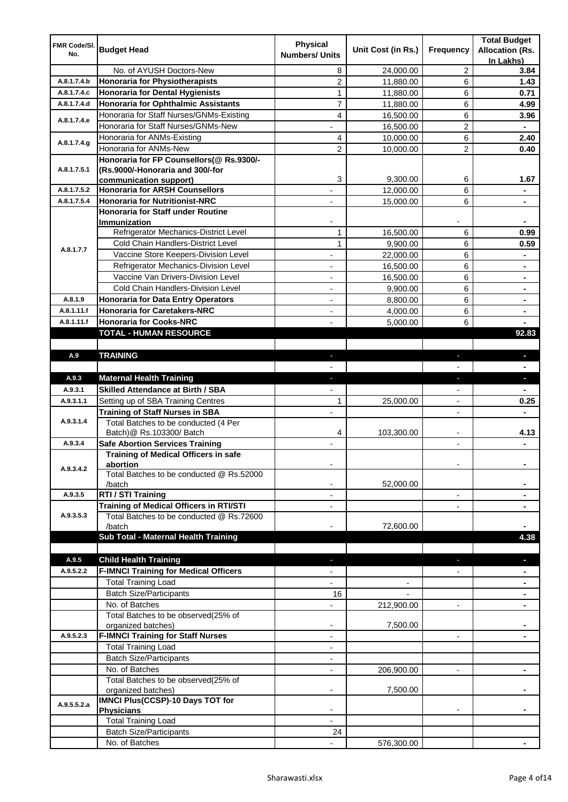| FMR Code/SI. | <b>Budget Head</b>                                               | <b>Physical</b>          | Unit Cost (in Rs.) |                          | <b>Total Budget</b>    |
|--------------|------------------------------------------------------------------|--------------------------|--------------------|--------------------------|------------------------|
| No.          |                                                                  | <b>Numbers/ Units</b>    |                    | Frequency                | <b>Allocation (Rs.</b> |
|              | No. of AYUSH Doctors-New                                         | 8                        | 24,000.00          | 2                        | In Lakhs)<br>3.84      |
| A.8.1.7.4.b  | <b>Honoraria for Physiotherapists</b>                            | $\overline{c}$           | 11,880.00          | 6                        | 1.43                   |
| A.8.1.7.4.c  | <b>Honoraria for Dental Hygienists</b>                           | 1                        | 11,880.00          | 6                        | 0.71                   |
| A.8.1.7.4.d  | <b>Honoraria for Ophthalmic Assistants</b>                       | 7                        | 11,880.00          | 6                        | 4.99                   |
|              | Honoraria for Staff Nurses/GNMs-Existing                         | $\overline{4}$           | 16,500.00          | 6                        | 3.96                   |
| A.8.1.7.4.e  | Honoraria for Staff Nurses/GNMs-New                              | $\blacksquare$           | 16,500.00          | $\overline{c}$           |                        |
|              | Honoraria for ANMs-Existing                                      | 4                        | 10,000.00          | 6                        | 2.40                   |
| A.8.1.7.4.g  | Honoraria for ANMs-New                                           | 2                        | 10,000.00          | $\overline{c}$           | 0.40                   |
|              | Honoraria for FP Counsellors(@ Rs.9300/-                         |                          |                    |                          |                        |
| A.8.1.7.5.1  | (Rs.9000/-Honoraria and 300/-for                                 |                          |                    |                          |                        |
|              | communication support)                                           | 3                        | 9,300.00           | 6                        | 1.67                   |
| A.8.1.7.5.2  | <b>Honoraria for ARSH Counsellors</b>                            |                          | 12,000.00          | 6                        |                        |
| A.8.1.7.5.4  | <b>Honoraria for Nutritionist-NRC</b>                            |                          | 15,000.00          | 6                        | ۰                      |
|              | Honoraria for Staff under Routine                                |                          |                    |                          |                        |
|              | Immunization                                                     |                          |                    |                          |                        |
|              | Refrigerator Mechanics-District Level                            | 1                        | 16,500.00          | 6                        | 0.99                   |
| A.8.1.7.7    | Cold Chain Handlers-District Level                               | $\mathbf{1}$             | 9,900.00           | 6                        | 0.59                   |
|              | Vaccine Store Keepers-Division Level                             | $\overline{a}$           | 22,000.00          | 6                        | $\blacksquare$         |
|              | Refrigerator Mechanics-Division Level                            |                          | 16,500.00          | 6                        | $\blacksquare$         |
|              | Vaccine Van Drivers-Division Level                               | $\blacksquare$           | 16,500.00          | 6                        |                        |
|              | Cold Chain Handlers-Division Level                               | $\overline{\phantom{a}}$ | 9,900.00           | 6                        | ۰                      |
| A.8.1.9      | <b>Honoraria for Data Entry Operators</b>                        | $\blacksquare$           | 8,800.00           | 6                        | ۰                      |
| A.8.1.11.f   | <b>Honoraria for Caretakers-NRC</b>                              | $\overline{\phantom{a}}$ | 4,000.00           | 6                        | ۰                      |
| A.8.1.11.f   | <b>Honoraria for Cooks-NRC</b>                                   | $\overline{a}$           | 5,000.00           | 6                        |                        |
|              | TOTAL - HUMAN RESOURCE                                           |                          |                    |                          | 92.83                  |
|              |                                                                  |                          |                    |                          |                        |
| A.9          | <b>TRAINING</b>                                                  | ÷.                       |                    | ٠                        | ٠                      |
|              |                                                                  |                          |                    |                          |                        |
| A.9.3        | <b>Maternal Health Training</b>                                  | ٠                        |                    | ٠                        | ٠                      |
| A.9.3.1      | <b>Skilled Attendance at Birth / SBA</b>                         |                          |                    |                          |                        |
| A.9.3.1.1    | Setting up of SBA Training Centres                               | 1                        | 25,000.00          |                          | 0.25                   |
| A.9.3.1.4    | <b>Training of Staff Nurses in SBA</b>                           | $\overline{\phantom{a}}$ |                    | $\overline{\phantom{a}}$ | ٠                      |
|              | Total Batches to be conducted (4 Per<br>Batch)@ Rs.103300/ Batch | 4                        | 103,300.00         |                          | 4.13                   |
| A.9.3.4      | <b>Safe Abortion Services Training</b>                           |                          |                    |                          |                        |
|              | Training of Medical Officers in safe                             |                          |                    |                          |                        |
|              | abortion                                                         |                          |                    | $\overline{\phantom{a}}$ | ۰                      |
| A.9.3.4.2    | Total Batches to be conducted @ Rs.52000                         |                          |                    |                          |                        |
|              | /batch                                                           |                          | 52,000.00          |                          |                        |
| A.9.3.5      | RTI / STI Training                                               |                          |                    |                          |                        |
|              | <b>Training of Medical Officers in RTI/STI</b>                   |                          |                    |                          |                        |
| A.9.3.5.3    | Total Batches to be conducted @ Rs.72600                         |                          |                    |                          |                        |
|              | /batch                                                           |                          | 72,600.00          |                          |                        |
|              | Sub Total - Maternal Health Training                             |                          |                    |                          | 4.38                   |
|              |                                                                  |                          |                    |                          |                        |
| A.9.5        | <b>Child Health Training</b>                                     |                          |                    |                          |                        |
| A.9.5.2.2    | <b>F-IMNCI Training for Medical Officers</b>                     |                          |                    |                          |                        |
|              | <b>Total Training Load</b>                                       |                          |                    |                          |                        |
|              | <b>Batch Size/Participants</b>                                   | 16                       |                    |                          |                        |
|              | No. of Batches                                                   |                          | 212,900.00         | $\overline{a}$           |                        |
|              | Total Batches to be observed(25% of                              |                          |                    |                          |                        |
|              | organized batches)                                               | $\blacksquare$           | 7,500.00           |                          |                        |
| A.9.5.2.3    | <b>F-IMNCI Training for Staff Nurses</b>                         | $\overline{\phantom{a}}$ |                    | $\overline{\phantom{a}}$ | $\blacksquare$         |
|              | <b>Total Training Load</b><br><b>Batch Size/Participants</b>     | $\overline{\phantom{a}}$ |                    |                          |                        |
|              | No. of Batches                                                   | $\overline{\phantom{a}}$ |                    |                          |                        |
|              | Total Batches to be observed(25% of                              |                          | 206,900.00         | $\overline{\phantom{a}}$ |                        |
|              | organized batches)                                               |                          | 7,500.00           |                          |                        |
|              | <b>IMNCI Plus(CCSP)-10 Days TOT for</b>                          |                          |                    |                          |                        |
| A.9.5.5.2.a  | <b>Physicians</b>                                                |                          |                    |                          |                        |
|              | <b>Total Training Load</b>                                       |                          |                    |                          |                        |
|              | <b>Batch Size/Participants</b>                                   | 24                       |                    |                          |                        |
|              | No. of Batches                                                   |                          | 576,300.00         |                          |                        |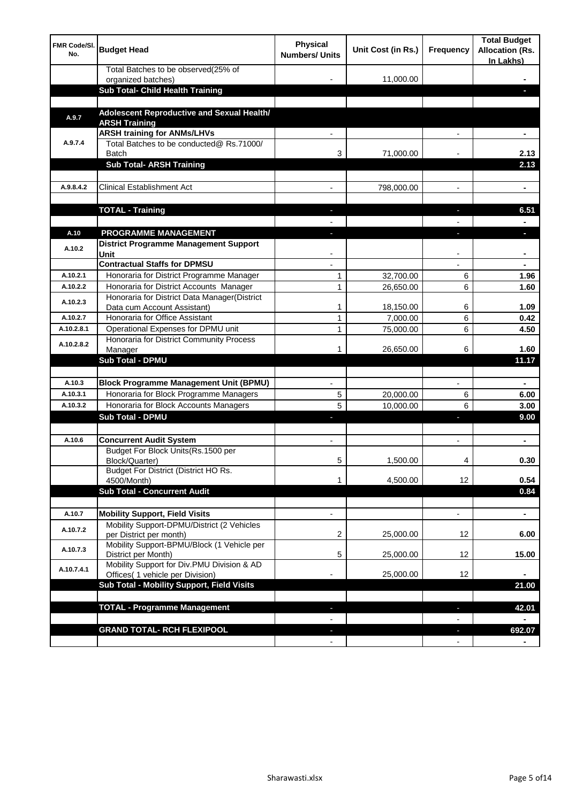| 11,000.00<br>organized batches)<br><b>Sub Total- Child Health Training</b><br>Adolescent Reproductive and Sexual Health/<br>A.9.7<br><b>ARSH Training</b><br><b>ARSH training for ANMs/LHVs</b><br>A.9.7.4<br>Total Batches to be conducted@ Rs.71000/<br>71,000.00<br>2.13<br>Batch<br>3<br><b>Sub Total- ARSH Training</b><br>2.13<br><b>Clinical Establishment Act</b><br>A.9.8.4.2<br>798,000.00<br>۰<br><b>TOTAL - Training</b><br>6.51<br>r.<br><b>PROGRAMME MANAGEMENT</b><br>A.10<br>District Programme Management Support<br>A.10.2<br>Unit<br><b>Contractual Staffs for DPMSU</b><br>A.10.2.1<br>Honoraria for District Programme Manager<br>32,700.00<br>1<br>6<br>1.96<br>Honoraria for District Accounts Manager<br>A.10.2.2<br>1<br>26,650.00<br>6<br>1.60<br>Honoraria for District Data Manager(District<br>A.10.2.3<br>Data cum Account Assistant)<br>1<br>18,150.00<br>6<br>1.09<br>$\overline{1}$<br>Honoraria for Office Assistant<br>A.10.2.7<br>7,000.00<br>6<br>0.42<br>1<br>6<br>Operational Expenses for DPMU unit<br>75,000.00<br>4.50<br>A.10.2.8.1<br>Honoraria for District Community Process<br>A.10.2.8.2<br>26,650.00<br>6<br>1.60<br>Manager<br>1<br><b>Sub Total - DPMU</b><br>11.17<br><b>Block Programme Management Unit (BPMU)</b><br>A.10.3<br>$\blacksquare$<br>$\overline{\phantom{a}}$<br>$\blacksquare$<br>Honoraria for Block Programme Managers<br>A.10.3.1<br>5<br>20,000.00<br>6<br>6.00<br>5<br>A.10.3.2<br>Honoraria for Block Accounts Managers<br>6<br>10,000.00<br>3.00<br><b>Sub Total - DPMU</b><br>9.00<br>$\blacksquare$<br>J,<br>A.10.6<br><b>Concurrent Audit System</b><br>$\blacksquare$<br>$\blacksquare$<br>$\blacksquare$<br>Budget For Block Units(Rs.1500 per<br>1,500.00<br>0.30<br>Block/Quarter)<br>C<br>4<br>Budget For District (District HO Rs.<br>4,500.00<br>12<br>0.54<br>4500/Month)<br>1<br><b>Sub Total - Concurrent Audit</b><br>0.84<br><b>Mobility Support, Field Visits</b><br>A.10.7<br>$\overline{\phantom{a}}$<br>$\blacksquare$<br>$\overline{\phantom{a}}$<br>Mobility Support-DPMU/District (2 Vehicles<br>A.10.7.2<br>per District per month)<br>2<br>25,000.00<br>12<br>6.00<br>Mobility Support-BPMU/Block (1 Vehicle per<br>A.10.7.3<br>5<br>25,000.00<br>12<br>15.00<br>District per Month)<br>Mobility Support for Div.PMU Division & AD<br>A.10.7.4.1<br>25,000.00<br>Offices( 1 vehicle per Division)<br>12<br>Sub Total - Mobility Support, Field Visits<br>21.00<br><b>TOTAL - Programme Management</b><br>42.01<br>ı<br><b>GRAND TOTAL- RCH FLEXIPOOL</b><br>692.07<br>٠<br>$\overline{\phantom{a}}$<br>$\overline{\phantom{a}}$<br>$\blacksquare$ | <b>FMR Code/SI.</b><br>No. | <b>Budget Head</b>                  | Physical<br><b>Numbers/ Units</b> | Unit Cost (in Rs.) | Frequency | <b>Total Budget</b><br><b>Allocation (Rs.</b><br>In Lakhs) |
|-----------------------------------------------------------------------------------------------------------------------------------------------------------------------------------------------------------------------------------------------------------------------------------------------------------------------------------------------------------------------------------------------------------------------------------------------------------------------------------------------------------------------------------------------------------------------------------------------------------------------------------------------------------------------------------------------------------------------------------------------------------------------------------------------------------------------------------------------------------------------------------------------------------------------------------------------------------------------------------------------------------------------------------------------------------------------------------------------------------------------------------------------------------------------------------------------------------------------------------------------------------------------------------------------------------------------------------------------------------------------------------------------------------------------------------------------------------------------------------------------------------------------------------------------------------------------------------------------------------------------------------------------------------------------------------------------------------------------------------------------------------------------------------------------------------------------------------------------------------------------------------------------------------------------------------------------------------------------------------------------------------------------------------------------------------------------------------------------------------------------------------------------------------------------------------------------------------------------------------------------------------------------------------------------------------------------------------------------------------------------------------------------------------------------------------------------------------------------------------------------------------------------------------------------------------------------------------------------------------------------------------------------------|----------------------------|-------------------------------------|-----------------------------------|--------------------|-----------|------------------------------------------------------------|
|                                                                                                                                                                                                                                                                                                                                                                                                                                                                                                                                                                                                                                                                                                                                                                                                                                                                                                                                                                                                                                                                                                                                                                                                                                                                                                                                                                                                                                                                                                                                                                                                                                                                                                                                                                                                                                                                                                                                                                                                                                                                                                                                                                                                                                                                                                                                                                                                                                                                                                                                                                                                                                                     |                            | Total Batches to be observed(25% of |                                   |                    |           |                                                            |
|                                                                                                                                                                                                                                                                                                                                                                                                                                                                                                                                                                                                                                                                                                                                                                                                                                                                                                                                                                                                                                                                                                                                                                                                                                                                                                                                                                                                                                                                                                                                                                                                                                                                                                                                                                                                                                                                                                                                                                                                                                                                                                                                                                                                                                                                                                                                                                                                                                                                                                                                                                                                                                                     |                            |                                     |                                   |                    |           |                                                            |
|                                                                                                                                                                                                                                                                                                                                                                                                                                                                                                                                                                                                                                                                                                                                                                                                                                                                                                                                                                                                                                                                                                                                                                                                                                                                                                                                                                                                                                                                                                                                                                                                                                                                                                                                                                                                                                                                                                                                                                                                                                                                                                                                                                                                                                                                                                                                                                                                                                                                                                                                                                                                                                                     |                            |                                     |                                   |                    |           |                                                            |
|                                                                                                                                                                                                                                                                                                                                                                                                                                                                                                                                                                                                                                                                                                                                                                                                                                                                                                                                                                                                                                                                                                                                                                                                                                                                                                                                                                                                                                                                                                                                                                                                                                                                                                                                                                                                                                                                                                                                                                                                                                                                                                                                                                                                                                                                                                                                                                                                                                                                                                                                                                                                                                                     |                            |                                     |                                   |                    |           |                                                            |
|                                                                                                                                                                                                                                                                                                                                                                                                                                                                                                                                                                                                                                                                                                                                                                                                                                                                                                                                                                                                                                                                                                                                                                                                                                                                                                                                                                                                                                                                                                                                                                                                                                                                                                                                                                                                                                                                                                                                                                                                                                                                                                                                                                                                                                                                                                                                                                                                                                                                                                                                                                                                                                                     |                            |                                     |                                   |                    |           |                                                            |
|                                                                                                                                                                                                                                                                                                                                                                                                                                                                                                                                                                                                                                                                                                                                                                                                                                                                                                                                                                                                                                                                                                                                                                                                                                                                                                                                                                                                                                                                                                                                                                                                                                                                                                                                                                                                                                                                                                                                                                                                                                                                                                                                                                                                                                                                                                                                                                                                                                                                                                                                                                                                                                                     |                            |                                     |                                   |                    |           |                                                            |
|                                                                                                                                                                                                                                                                                                                                                                                                                                                                                                                                                                                                                                                                                                                                                                                                                                                                                                                                                                                                                                                                                                                                                                                                                                                                                                                                                                                                                                                                                                                                                                                                                                                                                                                                                                                                                                                                                                                                                                                                                                                                                                                                                                                                                                                                                                                                                                                                                                                                                                                                                                                                                                                     |                            |                                     |                                   |                    |           |                                                            |
|                                                                                                                                                                                                                                                                                                                                                                                                                                                                                                                                                                                                                                                                                                                                                                                                                                                                                                                                                                                                                                                                                                                                                                                                                                                                                                                                                                                                                                                                                                                                                                                                                                                                                                                                                                                                                                                                                                                                                                                                                                                                                                                                                                                                                                                                                                                                                                                                                                                                                                                                                                                                                                                     |                            |                                     |                                   |                    |           |                                                            |
|                                                                                                                                                                                                                                                                                                                                                                                                                                                                                                                                                                                                                                                                                                                                                                                                                                                                                                                                                                                                                                                                                                                                                                                                                                                                                                                                                                                                                                                                                                                                                                                                                                                                                                                                                                                                                                                                                                                                                                                                                                                                                                                                                                                                                                                                                                                                                                                                                                                                                                                                                                                                                                                     |                            |                                     |                                   |                    |           |                                                            |
|                                                                                                                                                                                                                                                                                                                                                                                                                                                                                                                                                                                                                                                                                                                                                                                                                                                                                                                                                                                                                                                                                                                                                                                                                                                                                                                                                                                                                                                                                                                                                                                                                                                                                                                                                                                                                                                                                                                                                                                                                                                                                                                                                                                                                                                                                                                                                                                                                                                                                                                                                                                                                                                     |                            |                                     |                                   |                    |           |                                                            |
|                                                                                                                                                                                                                                                                                                                                                                                                                                                                                                                                                                                                                                                                                                                                                                                                                                                                                                                                                                                                                                                                                                                                                                                                                                                                                                                                                                                                                                                                                                                                                                                                                                                                                                                                                                                                                                                                                                                                                                                                                                                                                                                                                                                                                                                                                                                                                                                                                                                                                                                                                                                                                                                     |                            |                                     |                                   |                    |           |                                                            |
|                                                                                                                                                                                                                                                                                                                                                                                                                                                                                                                                                                                                                                                                                                                                                                                                                                                                                                                                                                                                                                                                                                                                                                                                                                                                                                                                                                                                                                                                                                                                                                                                                                                                                                                                                                                                                                                                                                                                                                                                                                                                                                                                                                                                                                                                                                                                                                                                                                                                                                                                                                                                                                                     |                            |                                     |                                   |                    |           |                                                            |
|                                                                                                                                                                                                                                                                                                                                                                                                                                                                                                                                                                                                                                                                                                                                                                                                                                                                                                                                                                                                                                                                                                                                                                                                                                                                                                                                                                                                                                                                                                                                                                                                                                                                                                                                                                                                                                                                                                                                                                                                                                                                                                                                                                                                                                                                                                                                                                                                                                                                                                                                                                                                                                                     |                            |                                     |                                   |                    |           |                                                            |
|                                                                                                                                                                                                                                                                                                                                                                                                                                                                                                                                                                                                                                                                                                                                                                                                                                                                                                                                                                                                                                                                                                                                                                                                                                                                                                                                                                                                                                                                                                                                                                                                                                                                                                                                                                                                                                                                                                                                                                                                                                                                                                                                                                                                                                                                                                                                                                                                                                                                                                                                                                                                                                                     |                            |                                     |                                   |                    |           |                                                            |
|                                                                                                                                                                                                                                                                                                                                                                                                                                                                                                                                                                                                                                                                                                                                                                                                                                                                                                                                                                                                                                                                                                                                                                                                                                                                                                                                                                                                                                                                                                                                                                                                                                                                                                                                                                                                                                                                                                                                                                                                                                                                                                                                                                                                                                                                                                                                                                                                                                                                                                                                                                                                                                                     |                            |                                     |                                   |                    |           |                                                            |
|                                                                                                                                                                                                                                                                                                                                                                                                                                                                                                                                                                                                                                                                                                                                                                                                                                                                                                                                                                                                                                                                                                                                                                                                                                                                                                                                                                                                                                                                                                                                                                                                                                                                                                                                                                                                                                                                                                                                                                                                                                                                                                                                                                                                                                                                                                                                                                                                                                                                                                                                                                                                                                                     |                            |                                     |                                   |                    |           |                                                            |
|                                                                                                                                                                                                                                                                                                                                                                                                                                                                                                                                                                                                                                                                                                                                                                                                                                                                                                                                                                                                                                                                                                                                                                                                                                                                                                                                                                                                                                                                                                                                                                                                                                                                                                                                                                                                                                                                                                                                                                                                                                                                                                                                                                                                                                                                                                                                                                                                                                                                                                                                                                                                                                                     |                            |                                     |                                   |                    |           |                                                            |
|                                                                                                                                                                                                                                                                                                                                                                                                                                                                                                                                                                                                                                                                                                                                                                                                                                                                                                                                                                                                                                                                                                                                                                                                                                                                                                                                                                                                                                                                                                                                                                                                                                                                                                                                                                                                                                                                                                                                                                                                                                                                                                                                                                                                                                                                                                                                                                                                                                                                                                                                                                                                                                                     |                            |                                     |                                   |                    |           |                                                            |
|                                                                                                                                                                                                                                                                                                                                                                                                                                                                                                                                                                                                                                                                                                                                                                                                                                                                                                                                                                                                                                                                                                                                                                                                                                                                                                                                                                                                                                                                                                                                                                                                                                                                                                                                                                                                                                                                                                                                                                                                                                                                                                                                                                                                                                                                                                                                                                                                                                                                                                                                                                                                                                                     |                            |                                     |                                   |                    |           |                                                            |
|                                                                                                                                                                                                                                                                                                                                                                                                                                                                                                                                                                                                                                                                                                                                                                                                                                                                                                                                                                                                                                                                                                                                                                                                                                                                                                                                                                                                                                                                                                                                                                                                                                                                                                                                                                                                                                                                                                                                                                                                                                                                                                                                                                                                                                                                                                                                                                                                                                                                                                                                                                                                                                                     |                            |                                     |                                   |                    |           |                                                            |
|                                                                                                                                                                                                                                                                                                                                                                                                                                                                                                                                                                                                                                                                                                                                                                                                                                                                                                                                                                                                                                                                                                                                                                                                                                                                                                                                                                                                                                                                                                                                                                                                                                                                                                                                                                                                                                                                                                                                                                                                                                                                                                                                                                                                                                                                                                                                                                                                                                                                                                                                                                                                                                                     |                            |                                     |                                   |                    |           |                                                            |
|                                                                                                                                                                                                                                                                                                                                                                                                                                                                                                                                                                                                                                                                                                                                                                                                                                                                                                                                                                                                                                                                                                                                                                                                                                                                                                                                                                                                                                                                                                                                                                                                                                                                                                                                                                                                                                                                                                                                                                                                                                                                                                                                                                                                                                                                                                                                                                                                                                                                                                                                                                                                                                                     |                            |                                     |                                   |                    |           |                                                            |
|                                                                                                                                                                                                                                                                                                                                                                                                                                                                                                                                                                                                                                                                                                                                                                                                                                                                                                                                                                                                                                                                                                                                                                                                                                                                                                                                                                                                                                                                                                                                                                                                                                                                                                                                                                                                                                                                                                                                                                                                                                                                                                                                                                                                                                                                                                                                                                                                                                                                                                                                                                                                                                                     |                            |                                     |                                   |                    |           |                                                            |
|                                                                                                                                                                                                                                                                                                                                                                                                                                                                                                                                                                                                                                                                                                                                                                                                                                                                                                                                                                                                                                                                                                                                                                                                                                                                                                                                                                                                                                                                                                                                                                                                                                                                                                                                                                                                                                                                                                                                                                                                                                                                                                                                                                                                                                                                                                                                                                                                                                                                                                                                                                                                                                                     |                            |                                     |                                   |                    |           |                                                            |
|                                                                                                                                                                                                                                                                                                                                                                                                                                                                                                                                                                                                                                                                                                                                                                                                                                                                                                                                                                                                                                                                                                                                                                                                                                                                                                                                                                                                                                                                                                                                                                                                                                                                                                                                                                                                                                                                                                                                                                                                                                                                                                                                                                                                                                                                                                                                                                                                                                                                                                                                                                                                                                                     |                            |                                     |                                   |                    |           |                                                            |
|                                                                                                                                                                                                                                                                                                                                                                                                                                                                                                                                                                                                                                                                                                                                                                                                                                                                                                                                                                                                                                                                                                                                                                                                                                                                                                                                                                                                                                                                                                                                                                                                                                                                                                                                                                                                                                                                                                                                                                                                                                                                                                                                                                                                                                                                                                                                                                                                                                                                                                                                                                                                                                                     |                            |                                     |                                   |                    |           |                                                            |
|                                                                                                                                                                                                                                                                                                                                                                                                                                                                                                                                                                                                                                                                                                                                                                                                                                                                                                                                                                                                                                                                                                                                                                                                                                                                                                                                                                                                                                                                                                                                                                                                                                                                                                                                                                                                                                                                                                                                                                                                                                                                                                                                                                                                                                                                                                                                                                                                                                                                                                                                                                                                                                                     |                            |                                     |                                   |                    |           |                                                            |
|                                                                                                                                                                                                                                                                                                                                                                                                                                                                                                                                                                                                                                                                                                                                                                                                                                                                                                                                                                                                                                                                                                                                                                                                                                                                                                                                                                                                                                                                                                                                                                                                                                                                                                                                                                                                                                                                                                                                                                                                                                                                                                                                                                                                                                                                                                                                                                                                                                                                                                                                                                                                                                                     |                            |                                     |                                   |                    |           |                                                            |
|                                                                                                                                                                                                                                                                                                                                                                                                                                                                                                                                                                                                                                                                                                                                                                                                                                                                                                                                                                                                                                                                                                                                                                                                                                                                                                                                                                                                                                                                                                                                                                                                                                                                                                                                                                                                                                                                                                                                                                                                                                                                                                                                                                                                                                                                                                                                                                                                                                                                                                                                                                                                                                                     |                            |                                     |                                   |                    |           |                                                            |
|                                                                                                                                                                                                                                                                                                                                                                                                                                                                                                                                                                                                                                                                                                                                                                                                                                                                                                                                                                                                                                                                                                                                                                                                                                                                                                                                                                                                                                                                                                                                                                                                                                                                                                                                                                                                                                                                                                                                                                                                                                                                                                                                                                                                                                                                                                                                                                                                                                                                                                                                                                                                                                                     |                            |                                     |                                   |                    |           |                                                            |
|                                                                                                                                                                                                                                                                                                                                                                                                                                                                                                                                                                                                                                                                                                                                                                                                                                                                                                                                                                                                                                                                                                                                                                                                                                                                                                                                                                                                                                                                                                                                                                                                                                                                                                                                                                                                                                                                                                                                                                                                                                                                                                                                                                                                                                                                                                                                                                                                                                                                                                                                                                                                                                                     |                            |                                     |                                   |                    |           |                                                            |
|                                                                                                                                                                                                                                                                                                                                                                                                                                                                                                                                                                                                                                                                                                                                                                                                                                                                                                                                                                                                                                                                                                                                                                                                                                                                                                                                                                                                                                                                                                                                                                                                                                                                                                                                                                                                                                                                                                                                                                                                                                                                                                                                                                                                                                                                                                                                                                                                                                                                                                                                                                                                                                                     |                            |                                     |                                   |                    |           |                                                            |
|                                                                                                                                                                                                                                                                                                                                                                                                                                                                                                                                                                                                                                                                                                                                                                                                                                                                                                                                                                                                                                                                                                                                                                                                                                                                                                                                                                                                                                                                                                                                                                                                                                                                                                                                                                                                                                                                                                                                                                                                                                                                                                                                                                                                                                                                                                                                                                                                                                                                                                                                                                                                                                                     |                            |                                     |                                   |                    |           |                                                            |
|                                                                                                                                                                                                                                                                                                                                                                                                                                                                                                                                                                                                                                                                                                                                                                                                                                                                                                                                                                                                                                                                                                                                                                                                                                                                                                                                                                                                                                                                                                                                                                                                                                                                                                                                                                                                                                                                                                                                                                                                                                                                                                                                                                                                                                                                                                                                                                                                                                                                                                                                                                                                                                                     |                            |                                     |                                   |                    |           |                                                            |
|                                                                                                                                                                                                                                                                                                                                                                                                                                                                                                                                                                                                                                                                                                                                                                                                                                                                                                                                                                                                                                                                                                                                                                                                                                                                                                                                                                                                                                                                                                                                                                                                                                                                                                                                                                                                                                                                                                                                                                                                                                                                                                                                                                                                                                                                                                                                                                                                                                                                                                                                                                                                                                                     |                            |                                     |                                   |                    |           |                                                            |
|                                                                                                                                                                                                                                                                                                                                                                                                                                                                                                                                                                                                                                                                                                                                                                                                                                                                                                                                                                                                                                                                                                                                                                                                                                                                                                                                                                                                                                                                                                                                                                                                                                                                                                                                                                                                                                                                                                                                                                                                                                                                                                                                                                                                                                                                                                                                                                                                                                                                                                                                                                                                                                                     |                            |                                     |                                   |                    |           |                                                            |
|                                                                                                                                                                                                                                                                                                                                                                                                                                                                                                                                                                                                                                                                                                                                                                                                                                                                                                                                                                                                                                                                                                                                                                                                                                                                                                                                                                                                                                                                                                                                                                                                                                                                                                                                                                                                                                                                                                                                                                                                                                                                                                                                                                                                                                                                                                                                                                                                                                                                                                                                                                                                                                                     |                            |                                     |                                   |                    |           |                                                            |
|                                                                                                                                                                                                                                                                                                                                                                                                                                                                                                                                                                                                                                                                                                                                                                                                                                                                                                                                                                                                                                                                                                                                                                                                                                                                                                                                                                                                                                                                                                                                                                                                                                                                                                                                                                                                                                                                                                                                                                                                                                                                                                                                                                                                                                                                                                                                                                                                                                                                                                                                                                                                                                                     |                            |                                     |                                   |                    |           |                                                            |
|                                                                                                                                                                                                                                                                                                                                                                                                                                                                                                                                                                                                                                                                                                                                                                                                                                                                                                                                                                                                                                                                                                                                                                                                                                                                                                                                                                                                                                                                                                                                                                                                                                                                                                                                                                                                                                                                                                                                                                                                                                                                                                                                                                                                                                                                                                                                                                                                                                                                                                                                                                                                                                                     |                            |                                     |                                   |                    |           |                                                            |
|                                                                                                                                                                                                                                                                                                                                                                                                                                                                                                                                                                                                                                                                                                                                                                                                                                                                                                                                                                                                                                                                                                                                                                                                                                                                                                                                                                                                                                                                                                                                                                                                                                                                                                                                                                                                                                                                                                                                                                                                                                                                                                                                                                                                                                                                                                                                                                                                                                                                                                                                                                                                                                                     |                            |                                     |                                   |                    |           |                                                            |
|                                                                                                                                                                                                                                                                                                                                                                                                                                                                                                                                                                                                                                                                                                                                                                                                                                                                                                                                                                                                                                                                                                                                                                                                                                                                                                                                                                                                                                                                                                                                                                                                                                                                                                                                                                                                                                                                                                                                                                                                                                                                                                                                                                                                                                                                                                                                                                                                                                                                                                                                                                                                                                                     |                            |                                     |                                   |                    |           |                                                            |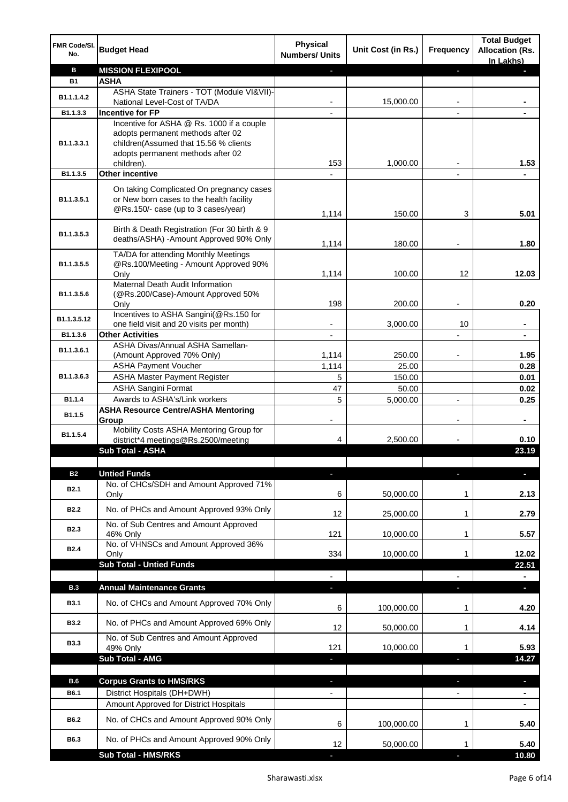| FMR Code/SI.<br>No. | <b>Budget Head</b>                                                                                                          | <b>Physical</b><br><b>Numbers/ Units</b> | Unit Cost (in Rs.) | <b>Frequency</b> | <b>Total Budget</b><br><b>Allocation (Rs.</b><br>In Lakhs) |
|---------------------|-----------------------------------------------------------------------------------------------------------------------------|------------------------------------------|--------------------|------------------|------------------------------------------------------------|
| в                   | <b>MISSION FLEXIPOOL</b>                                                                                                    |                                          |                    | ı                |                                                            |
| <b>B1</b>           | <b>ASHA</b>                                                                                                                 |                                          |                    |                  |                                                            |
| B1.1.1.4.2          | ASHA State Trainers - TOT (Module VI&VII)-                                                                                  |                                          |                    |                  |                                                            |
|                     | National Level-Cost of TA/DA                                                                                                |                                          | 15,000.00          |                  |                                                            |
| B1.1.3.3            | <b>Incentive for FP</b>                                                                                                     |                                          |                    |                  |                                                            |
|                     | Incentive for ASHA @ Rs. 1000 if a couple                                                                                   |                                          |                    |                  |                                                            |
| B1.1.3.3.1          | adopts permanent methods after 02<br>children(Assumed that 15.56 % clients                                                  |                                          |                    |                  |                                                            |
|                     | adopts permanent methods after 02                                                                                           |                                          |                    |                  |                                                            |
|                     | children).                                                                                                                  | 153                                      | 1,000.00           |                  | 1.53                                                       |
| B1.1.3.5            | <b>Other incentive</b>                                                                                                      |                                          |                    |                  |                                                            |
| B1.1.3.5.1          | On taking Complicated On pregnancy cases<br>or New born cases to the health facility<br>@Rs.150/- case (up to 3 cases/year) |                                          |                    |                  |                                                            |
|                     |                                                                                                                             | 1,114                                    | 150.00             | 3                | 5.01                                                       |
| B1.1.3.5.3          | Birth & Death Registration (For 30 birth & 9<br>deaths/ASHA) -Amount Approved 90% Only                                      | 1,114                                    | 180.00             |                  | 1.80                                                       |
|                     | TA/DA for attending Monthly Meetings                                                                                        |                                          |                    |                  |                                                            |
| B1.1.3.5.5          | @Rs.100/Meeting - Amount Approved 90%<br>Only                                                                               | 1,114                                    | 100.00             | 12               | 12.03                                                      |
|                     | Maternal Death Audit Information                                                                                            |                                          |                    |                  |                                                            |
| B1.1.3.5.6          | (@Rs.200/Case)-Amount Approved 50%<br>Only                                                                                  | 198                                      | 200.00             |                  | 0.20                                                       |
|                     | Incentives to ASHA Sangini(@Rs.150 for                                                                                      |                                          |                    |                  |                                                            |
| B1.1.3.5.12         | one field visit and 20 visits per month)                                                                                    |                                          | 3,000.00           | 10               | $\blacksquare$                                             |
| B1.1.3.6            | <b>Other Activities</b>                                                                                                     | $\overline{\phantom{a}}$                 |                    |                  | $\blacksquare$                                             |
| B1.1.3.6.1          | ASHA Divas/Annual ASHA Samellan-                                                                                            |                                          |                    |                  |                                                            |
|                     | (Amount Approved 70% Only)                                                                                                  | 1,114                                    | 250.00             |                  | 1.95                                                       |
|                     | <b>ASHA Payment Voucher</b>                                                                                                 | 1,114                                    | 25.00              |                  | 0.28                                                       |
| B1.1.3.6.3          | <b>ASHA Master Payment Register</b>                                                                                         | 5                                        | 150.00             |                  | 0.01                                                       |
|                     | <b>ASHA Sangini Format</b>                                                                                                  | 47<br>5                                  | 50.00              |                  | 0.02                                                       |
| B1.1.4              | Awards to ASHA's/Link workers<br><b>ASHA Resource Centre/ASHA Mentoring</b>                                                 |                                          | 5,000.00           | $\overline{a}$   | 0.25                                                       |
| B1.1.5              | Group                                                                                                                       | $\overline{\phantom{a}}$                 |                    | $\overline{a}$   | $\blacksquare$                                             |
| B1.1.5.4            | Mobility Costs ASHA Mentoring Group for                                                                                     |                                          |                    |                  |                                                            |
|                     | district*4 meetings@Rs.2500/meeting                                                                                         | 4                                        | 2,500.00           |                  | 0.10                                                       |
|                     | <b>Sub Total - ASHA</b>                                                                                                     |                                          |                    |                  | 23.19                                                      |
|                     |                                                                                                                             |                                          |                    |                  |                                                            |
| <b>B2</b>           | <b>Untied Funds</b>                                                                                                         | E.                                       |                    |                  |                                                            |
| B <sub>2.1</sub>    | No. of CHCs/SDH and Amount Approved 71%<br>Only                                                                             | 6                                        | 50,000.00          | 1                | 2.13                                                       |
|                     |                                                                                                                             |                                          |                    |                  |                                                            |
| <b>B2.2</b>         | No. of PHCs and Amount Approved 93% Only                                                                                    | 12                                       | 25,000.00          | 1                | 2.79                                                       |
| B <sub>2.3</sub>    | No. of Sub Centres and Amount Approved                                                                                      |                                          |                    |                  |                                                            |
|                     | 46% Only                                                                                                                    | 121                                      | 10,000.00          | 1                | 5.57                                                       |
| <b>B2.4</b>         | No. of VHNSCs and Amount Approved 36%<br>Only                                                                               | 334                                      | 10,000.00          | 1                | 12.02                                                      |
|                     | <b>Sub Total - Untied Funds</b>                                                                                             |                                          |                    |                  | 22.51                                                      |
|                     |                                                                                                                             |                                          |                    |                  |                                                            |
| <b>B.3</b>          | <b>Annual Maintenance Grants</b>                                                                                            | a.                                       |                    |                  | $\overline{\phantom{a}}$                                   |
| <b>B3.1</b>         | No. of CHCs and Amount Approved 70% Only                                                                                    | 6                                        | 100,000.00         | 1                | 4.20                                                       |
| <b>B3.2</b>         | No. of PHCs and Amount Approved 69% Only                                                                                    | 12                                       | 50,000.00          | 1                | 4.14                                                       |
| <b>B3.3</b>         | No. of Sub Centres and Amount Approved                                                                                      |                                          |                    |                  |                                                            |
|                     | 49% Only<br>Sub Total - AMG                                                                                                 | 121                                      | 10,000.00          | 1                | 5.93<br>14.27                                              |
|                     |                                                                                                                             | J,                                       |                    | T                |                                                            |
| B.6                 | <b>Corpus Grants to HMS/RKS</b>                                                                                             | J,                                       |                    |                  | п                                                          |
| B6.1                | District Hospitals (DH+DWH)                                                                                                 | $\overline{\phantom{a}}$                 |                    |                  | $\blacksquare$                                             |
|                     | Amount Approved for District Hospitals                                                                                      |                                          |                    |                  |                                                            |
|                     |                                                                                                                             |                                          |                    |                  |                                                            |
| B6.2                | No. of CHCs and Amount Approved 90% Only                                                                                    | 6                                        | 100,000.00         | 1                | 5.40                                                       |
| B6.3                | No. of PHCs and Amount Approved 90% Only                                                                                    | 12                                       | 50,000.00          | 1                | 5.40                                                       |
|                     | <b>Sub Total - HMS/RKS</b>                                                                                                  |                                          |                    |                  | 10.80                                                      |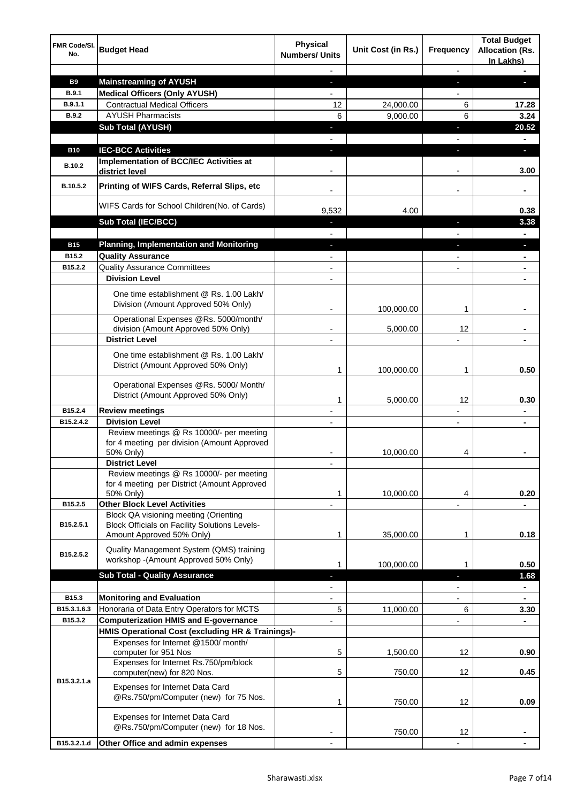| FMR Code/SI.<br>No. | <b>Budget Head</b>                                                                                   | Physical<br><b>Numbers/ Units</b> | Unit Cost (in Rs.) | Frequency      | <b>Total Budget</b><br><b>Allocation (Rs.</b><br>In Lakhs) |
|---------------------|------------------------------------------------------------------------------------------------------|-----------------------------------|--------------------|----------------|------------------------------------------------------------|
|                     |                                                                                                      |                                   |                    |                |                                                            |
| <b>B9</b>           | <b>Mainstreaming of AYUSH</b>                                                                        | ٠                                 |                    | J,             |                                                            |
| <b>B.9.1</b>        | <b>Medical Officers (Only AYUSH)</b>                                                                 |                                   |                    |                |                                                            |
| B.9.1.1             | <b>Contractual Medical Officers</b>                                                                  | 12                                | 24,000.00          | 6              | 17.28                                                      |
| <b>B.9.2</b>        | <b>AYUSH Pharmacists</b>                                                                             | 6                                 | 9,000.00           | 6              | 3.24                                                       |
|                     | <b>Sub Total (AYUSH)</b>                                                                             |                                   |                    | ı              | 20.52                                                      |
|                     |                                                                                                      |                                   |                    |                |                                                            |
| <b>B10</b>          | <b>IEC-BCC Activities</b>                                                                            | L                                 |                    | r              | ٠                                                          |
| B.10.2              | <b>Implementation of BCC/IEC Activities at</b><br>district level                                     |                                   |                    |                | 3.00                                                       |
| B.10.5.2            | Printing of WIFS Cards, Referral Slips, etc                                                          |                                   |                    |                |                                                            |
|                     | WIFS Cards for School Children(No. of Cards)                                                         | 9,532                             | 4.00               |                | 0.38                                                       |
|                     | Sub Total (IEC/BCC)                                                                                  |                                   |                    |                | 3.38                                                       |
|                     |                                                                                                      |                                   |                    |                |                                                            |
| <b>B15</b>          | <b>Planning, Implementation and Monitoring</b>                                                       |                                   |                    |                |                                                            |
| B15.2               | <b>Quality Assurance</b>                                                                             |                                   |                    |                |                                                            |
| B15.2.2             | <b>Quality Assurance Committees</b>                                                                  |                                   |                    |                |                                                            |
|                     | <b>Division Level</b>                                                                                |                                   |                    |                |                                                            |
|                     | One time establishment @ Rs. 1.00 Lakh/<br>Division (Amount Approved 50% Only)                       |                                   | 100,000.00         | 1              |                                                            |
|                     | Operational Expenses @Rs. 5000/month/                                                                |                                   |                    |                |                                                            |
|                     | division (Amount Approved 50% Only)                                                                  |                                   | 5,000.00           | 12             |                                                            |
|                     | <b>District Level</b>                                                                                |                                   |                    |                | ۰                                                          |
|                     | One time establishment @ Rs. 1.00 Lakh/<br>District (Amount Approved 50% Only)                       | 1                                 | 100,000.00         | 1              | 0.50                                                       |
|                     | Operational Expenses @Rs. 5000/ Month/<br>District (Amount Approved 50% Only)                        |                                   |                    |                |                                                            |
| B15.2.4             |                                                                                                      | 1                                 | 5,000.00           | 12             | 0.30                                                       |
|                     | <b>Review meetings</b>                                                                               |                                   |                    |                | ۰                                                          |
| B15.2.4.2           | <b>Division Level</b><br>Review meetings @ Rs 10000/- per meeting                                    |                                   |                    |                |                                                            |
|                     | for 4 meeting per division (Amount Approved<br>50% Only)                                             |                                   | 10,000.00          | 4              |                                                            |
|                     | <b>District Level</b>                                                                                |                                   |                    |                |                                                            |
|                     | Review meetings @ Rs 10000/- per meeting<br>for 4 meeting per District (Amount Approved<br>50% Only) | 1                                 | 10,000.00          | 4              | 0.20                                                       |
| B15.2.5             | <b>Other Block Level Activities</b>                                                                  |                                   |                    |                |                                                            |
| B15.2.5.1           | Block QA visioning meeting (Orienting<br>Block Officials on Facility Solutions Levels-               |                                   |                    |                |                                                            |
|                     | Amount Approved 50% Only)                                                                            | 1                                 | 35,000.00          | 1              | 0.18                                                       |
| B15.2.5.2           | Quality Management System (QMS) training<br>workshop -(Amount Approved 50% Only)                     | 1                                 | 100,000.00         | 1              | 0.50                                                       |
|                     | <b>Sub Total - Quality Assurance</b>                                                                 |                                   |                    | ı              | 1.68                                                       |
|                     |                                                                                                      |                                   |                    |                | ٠                                                          |
| B15.3               | <b>Monitoring and Evaluation</b>                                                                     |                                   |                    |                | ۰                                                          |
| B15.3.1.6.3         | Honoraria of Data Entry Operators for MCTS                                                           | 5                                 | 11,000.00          | 6              | 3.30                                                       |
| B15.3.2             | <b>Computerization HMIS and E-governance</b>                                                         |                                   |                    | $\overline{a}$ | $\blacksquare$                                             |
|                     | HMIS Operational Cost (excluding HR & Trainings)-                                                    |                                   |                    |                |                                                            |
|                     | Expenses for Internet @1500/month/                                                                   |                                   |                    |                |                                                            |
|                     | computer for 951 Nos<br>Expenses for Internet Rs.750/pm/block                                        | 5                                 | 1,500.00           | 12             | 0.90                                                       |
|                     | computer(new) for 820 Nos.                                                                           | 5                                 | 750.00             | 12             | 0.45                                                       |
| B15.3.2.1.a         | Expenses for Internet Data Card<br>@Rs.750/pm/Computer (new) for 75 Nos.                             | 1                                 | 750.00             | 12             | 0.09                                                       |
|                     | Expenses for Internet Data Card<br>@Rs.750/pm/Computer (new) for 18 Nos.                             |                                   | 750.00             | 12             |                                                            |
| B15.3.2.1.d         | Other Office and admin expenses                                                                      |                                   |                    |                |                                                            |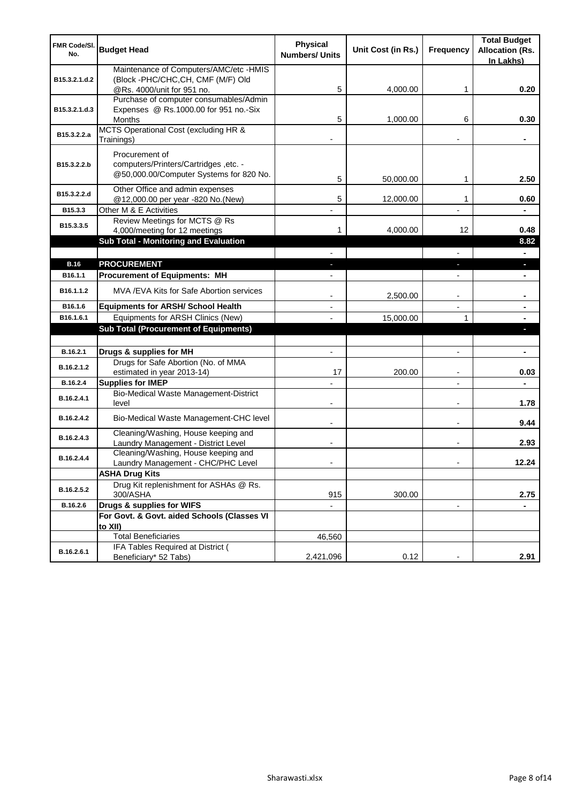| <b>FMR Code/SI.</b> |                                                                   | Physical              |                    |                          | <b>Total Budget</b>    |
|---------------------|-------------------------------------------------------------------|-----------------------|--------------------|--------------------------|------------------------|
| No.                 | <b>Budget Head</b>                                                | <b>Numbers/ Units</b> | Unit Cost (in Rs.) | Frequency                | <b>Allocation (Rs.</b> |
|                     | Maintenance of Computers/AMC/etc -HMIS                            |                       |                    |                          | In Lakhs)              |
| B15.3.2.1.d.2       | (Block -PHC/CHC, CH, CMF (M/F) Old                                |                       |                    |                          |                        |
|                     | @Rs. 4000/unit for 951 no.                                        | 5                     | 4,000.00           | 1                        | 0.20                   |
|                     | Purchase of computer consumables/Admin                            |                       |                    |                          |                        |
| B15.3.2.1.d.3       | Expenses @ Rs.1000.00 for 951 no.-Six<br><b>Months</b>            | 5                     | 1,000.00           | 6                        | 0.30                   |
|                     | MCTS Operational Cost (excluding HR &                             |                       |                    |                          |                        |
| B15.3.2.2.a         | Trainings)                                                        |                       |                    |                          |                        |
|                     | Procurement of                                                    |                       |                    |                          |                        |
| B15.3.2.2.b         | computers/Printers/Cartridges ,etc. -                             |                       |                    |                          |                        |
|                     | @50,000.00/Computer Systems for 820 No.                           | 5                     | 50,000.00          | 1                        | 2.50                   |
|                     | Other Office and admin expenses                                   |                       |                    |                          |                        |
| B15.3.2.2.d         | @12,000.00 per year -820 No.(New)                                 | 5                     | 12,000.00          | 1                        | 0.60                   |
| B15.3.3             | Other M & E Activities                                            |                       |                    |                          |                        |
| B15.3.3.5           | Review Meetings for MCTS @ Rs                                     |                       |                    |                          |                        |
|                     | 4,000/meeting for 12 meetings                                     | 1                     | 4,000.00           | 12                       | 0.48                   |
|                     | <b>Sub Total - Monitoring and Evaluation</b>                      |                       |                    |                          | 8.82<br>÷.             |
| <b>B.16</b>         | <b>PROCUREMENT</b>                                                |                       |                    | J.                       | ٠                      |
| B16.1.1             | <b>Procurement of Equipments: MH</b>                              |                       |                    |                          |                        |
|                     |                                                                   |                       |                    |                          |                        |
| B16.1.1.2           | MVA / EVA Kits for Safe Abortion services                         |                       | 2,500.00           |                          |                        |
| B16.1.6             | <b>Equipments for ARSH/ School Health</b>                         |                       |                    | $\overline{a}$           | ۰                      |
| B16.1.6.1           | Equipments for ARSH Clinics (New)                                 |                       | 15,000.00          | 1                        |                        |
|                     | <b>Sub Total (Procurement of Equipments)</b>                      |                       |                    |                          |                        |
|                     |                                                                   |                       |                    |                          |                        |
| B.16.2.1            | Drugs & supplies for MH                                           |                       |                    | $\overline{a}$           |                        |
| B.16.2.1.2          | Drugs for Safe Abortion (No. of MMA<br>estimated in year 2013-14) | 17                    | 200.00             | $\overline{\phantom{a}}$ | 0.03                   |
| B.16.2.4            | <b>Supplies for IMEP</b>                                          |                       |                    | $\overline{\phantom{a}}$ | $\blacksquare$         |
|                     | Bio-Medical Waste Management-District                             |                       |                    |                          |                        |
| B.16.2.4.1          | level                                                             |                       |                    | $\overline{\phantom{a}}$ | 1.78                   |
| B.16.2.4.2          | Bio-Medical Waste Management-CHC level                            | $\blacksquare$        |                    | $\overline{\phantom{a}}$ | 9.44                   |
|                     | Cleaning/Washing, House keeping and                               |                       |                    |                          |                        |
| B.16.2.4.3          | Laundry Management - District Level                               |                       |                    |                          | 2.93                   |
| B.16.2.4.4          | Cleaning/Washing, House keeping and                               |                       |                    |                          |                        |
|                     | Laundry Management - CHC/PHC Level                                |                       |                    |                          | 12.24                  |
|                     | <b>ASHA Drug Kits</b><br>Drug Kit replenishment for ASHAs @ Rs.   |                       |                    |                          |                        |
| B.16.2.5.2          | 300/ASHA                                                          | 915                   | 300.00             |                          | 2.75                   |
| B.16.2.6            | Drugs & supplies for WIFS                                         |                       |                    |                          |                        |
|                     | For Govt. & Govt. aided Schools (Classes VI                       |                       |                    |                          |                        |
|                     | to XII)                                                           |                       |                    |                          |                        |
|                     | <b>Total Beneficiaries</b>                                        | 46,560                |                    |                          |                        |
| B.16.2.6.1          | IFA Tables Required at District (                                 | 2,421,096             | 0.12               |                          | 2.91                   |
|                     | Beneficiary* 52 Tabs)                                             |                       |                    |                          |                        |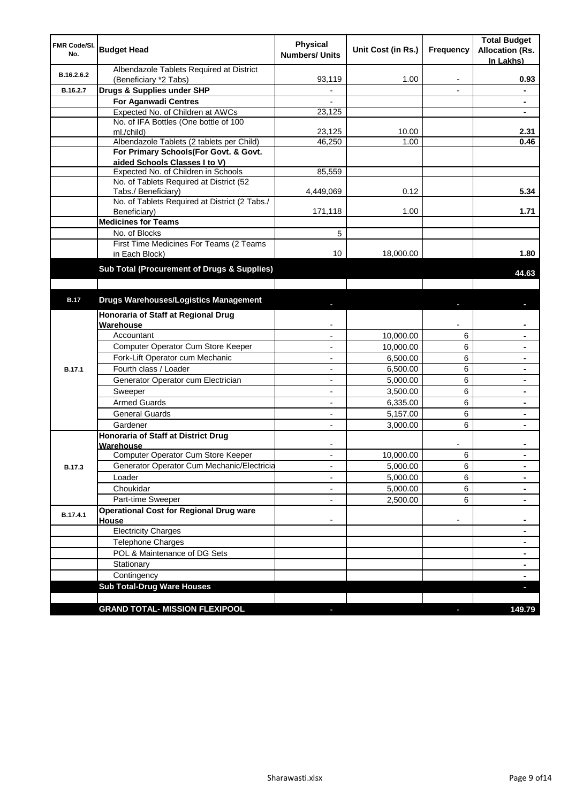| FMR Code/SI.<br>No. | <b>Budget Head</b>                                                   | <b>Physical</b><br><b>Numbers/ Units</b> | Unit Cost (in Rs.) | Frequency      | <b>Total Budget</b><br><b>Allocation (Rs.</b><br>In Lakhs) |
|---------------------|----------------------------------------------------------------------|------------------------------------------|--------------------|----------------|------------------------------------------------------------|
| B.16.2.6.2          | Albendazole Tablets Required at District<br>(Beneficiary *2 Tabs)    | 93,119                                   | 1.00               | -              | 0.93                                                       |
| B.16.2.7            | Drugs & Supplies under SHP                                           | $\overline{\phantom{a}}$                 |                    | $\blacksquare$ | $\blacksquare$                                             |
|                     | For Aganwadi Centres                                                 |                                          |                    |                |                                                            |
|                     | Expected No. of Children at AWCs                                     | 23,125                                   |                    |                |                                                            |
|                     | No. of IFA Bottles (One bottle of 100                                |                                          |                    |                |                                                            |
|                     | ml./child)                                                           | 23,125                                   | 10.00              |                | 2.31                                                       |
|                     | Albendazole Tablets (2 tablets per Child)                            | 46,250                                   | 1.00               |                | 0.46                                                       |
|                     | For Primary Schools(For Govt. & Govt.                                |                                          |                    |                |                                                            |
|                     | aided Schools Classes I to V)                                        |                                          |                    |                |                                                            |
|                     | Expected No. of Children in Schools                                  | 85,559                                   |                    |                |                                                            |
|                     | No. of Tablets Required at District (52                              |                                          | 0.12               |                | 5.34                                                       |
|                     | Tabs./ Beneficiary)<br>No. of Tablets Required at District (2 Tabs./ | 4,449,069                                |                    |                |                                                            |
|                     | Beneficiary)                                                         | 171,118                                  | 1.00               |                | 1.71                                                       |
|                     | <b>Medicines for Teams</b>                                           |                                          |                    |                |                                                            |
|                     | No. of Blocks                                                        | 5                                        |                    |                |                                                            |
|                     | First Time Medicines For Teams (2 Teams                              |                                          |                    |                |                                                            |
|                     | in Each Block)                                                       | 10                                       | 18,000.00          |                | 1.80                                                       |
|                     | Sub Total (Procurement of Drugs & Supplies)                          |                                          |                    |                | 44.63                                                      |
|                     |                                                                      |                                          |                    |                |                                                            |
| <b>B.17</b>         | <b>Drugs Warehouses/Logistics Management</b>                         |                                          |                    |                |                                                            |
|                     | Honoraria of Staff at Regional Drug                                  |                                          |                    |                |                                                            |
|                     | Warehouse                                                            |                                          |                    |                |                                                            |
|                     | Accountant                                                           |                                          | 10,000.00          | 6              |                                                            |
|                     | Computer Operator Cum Store Keeper                                   |                                          | 10,000.00          | 6              |                                                            |
|                     | Fork-Lift Operator cum Mechanic                                      |                                          | 6,500.00           | 6              | $\blacksquare$                                             |
| B.17.1              | Fourth class / Loader                                                |                                          | 6,500.00           | 6              | $\blacksquare$                                             |
|                     | Generator Operator cum Electrician                                   |                                          | 5,000.00           | 6              |                                                            |
|                     | Sweeper                                                              |                                          | 3,500.00           | 6              | $\blacksquare$                                             |
|                     | <b>Armed Guards</b>                                                  |                                          | 6,335.00           | 6              |                                                            |
|                     | <b>General Guards</b>                                                |                                          | 5,157.00           | 6              | ۰                                                          |
|                     | Gardener                                                             | $\overline{a}$                           | 3,000.00           | 6              | $\blacksquare$                                             |
|                     | Honoraria of Staff at District Drug                                  |                                          |                    |                |                                                            |
|                     | Warehouse<br>Computer Operator Cum Store Keeper                      |                                          |                    |                |                                                            |
|                     |                                                                      |                                          | 10,000.00          | 6              |                                                            |
| <b>B.17.3</b>       | Generator Operator Cum Mechanic/Electricia                           | ÷,                                       | 5,000.00           | 6              | $\blacksquare$                                             |
|                     | Loader                                                               |                                          | 5,000.00           | 6              |                                                            |
|                     | Choukidar                                                            |                                          | 5,000.00           | 6              |                                                            |
|                     | Part-time Sweeper                                                    |                                          | 2,500.00           | 6              |                                                            |
| B.17.4.1            | <b>Operational Cost for Regional Drug ware</b><br>House              | $\overline{\phantom{a}}$                 |                    |                | ۰                                                          |
|                     | <b>Electricity Charges</b>                                           |                                          |                    |                | $\blacksquare$                                             |
|                     | Telephone Charges                                                    |                                          |                    |                | $\blacksquare$                                             |
|                     | POL & Maintenance of DG Sets                                         |                                          |                    |                | ٠                                                          |
|                     | Stationary                                                           |                                          |                    |                | $\blacksquare$                                             |
|                     | Contingency                                                          |                                          |                    |                | $\blacksquare$                                             |
|                     | <b>Sub Total-Drug Ware Houses</b>                                    |                                          |                    |                |                                                            |
|                     |                                                                      |                                          |                    |                |                                                            |
|                     | <b>GRAND TOTAL- MISSION FLEXIPOOL</b>                                | ٠                                        |                    |                | 149.79                                                     |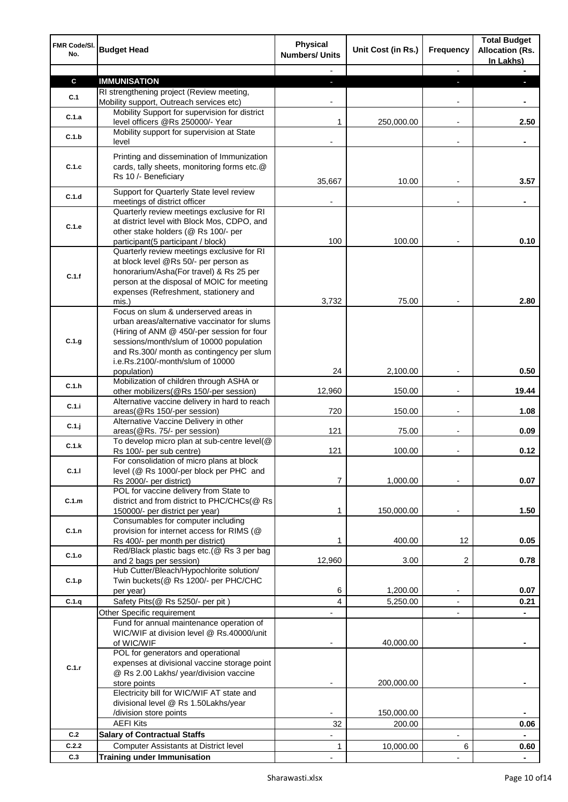| FMR Code/SI.<br>No. | <b>Budget Head</b>                                                                                                | Physical<br><b>Numbers/ Units</b> | Unit Cost (in Rs.) | Frequency                | <b>Total Budget</b><br><b>Allocation (Rs.</b><br>In Lakhs) |
|---------------------|-------------------------------------------------------------------------------------------------------------------|-----------------------------------|--------------------|--------------------------|------------------------------------------------------------|
|                     |                                                                                                                   |                                   |                    |                          |                                                            |
| $\mathbf c$         | <b>IMMUNISATION</b>                                                                                               |                                   |                    |                          |                                                            |
| C.1                 | RI strengthening project (Review meeting,<br>Mobility support, Outreach services etc)                             |                                   |                    |                          |                                                            |
| C.1.a               | Mobility Support for supervision for district<br>level officers @Rs 250000/- Year                                 | 1                                 | 250,000.00         |                          | 2.50                                                       |
| C.1.b               | Mobility support for supervision at State<br>level                                                                |                                   |                    |                          |                                                            |
|                     |                                                                                                                   |                                   |                    |                          |                                                            |
| C.1.c               | Printing and dissemination of Immunization<br>cards, tally sheets, monitoring forms etc.@<br>Rs 10 /- Beneficiary |                                   |                    |                          |                                                            |
| C.1.d               | Support for Quarterly State level review                                                                          | 35,667                            | 10.00              |                          | 3.57                                                       |
|                     | meetings of district officer<br>Quarterly review meetings exclusive for RI                                        |                                   |                    |                          |                                                            |
|                     | at district level with Block Mos, CDPO, and                                                                       |                                   |                    |                          |                                                            |
| C.1.e               | other stake holders (@ Rs 100/- per                                                                               |                                   |                    |                          |                                                            |
|                     | participant(5 participant / block)                                                                                | 100                               | 100.00             |                          | 0.10                                                       |
|                     | Quarterly review meetings exclusive for RI                                                                        |                                   |                    |                          |                                                            |
|                     | at block level @Rs 50/- per person as                                                                             |                                   |                    |                          |                                                            |
| C.1.f               | honorarium/Asha(For travel) & Rs 25 per                                                                           |                                   |                    |                          |                                                            |
|                     | person at the disposal of MOIC for meeting                                                                        |                                   |                    |                          |                                                            |
|                     | expenses (Refreshment, stationery and                                                                             |                                   |                    |                          |                                                            |
|                     | mis.)                                                                                                             | 3,732                             | 75.00              |                          | 2.80                                                       |
|                     | Focus on slum & underserved areas in                                                                              |                                   |                    |                          |                                                            |
|                     | urban areas/alternative vaccinator for slums                                                                      |                                   |                    |                          |                                                            |
| C.1.g               | (Hiring of ANM @ 450/-per session for four                                                                        |                                   |                    |                          |                                                            |
|                     | sessions/month/slum of 10000 population<br>and Rs.300/ month as contingency per slum                              |                                   |                    |                          |                                                            |
|                     | i.e.Rs.2100/-month/slum of 10000                                                                                  |                                   |                    |                          |                                                            |
|                     | population)                                                                                                       | 24                                | 2,100.00           |                          | 0.50                                                       |
|                     | Mobilization of children through ASHA or                                                                          |                                   |                    |                          |                                                            |
| C.1.h               | other mobilizers(@Rs 150/-per session)                                                                            | 12,960                            | 150.00             | $\blacksquare$           | 19.44                                                      |
| C.1.i               | Alternative vaccine delivery in hard to reach                                                                     |                                   |                    |                          |                                                            |
|                     | areas(@Rs 150/-per session)                                                                                       | 720                               | 150.00             | $\overline{a}$           | 1.08                                                       |
| C.1.j               | Alternative Vaccine Delivery in other                                                                             |                                   |                    |                          |                                                            |
|                     | areas(@Rs. 75/- per session)<br>To develop micro plan at sub-centre level(@                                       | 121                               | 75.00              | $\overline{a}$           | 0.09                                                       |
| C.1.k               | Rs 100/- per sub centre)                                                                                          | 121                               | 100.00             |                          | 0.12                                                       |
|                     | For consolidation of micro plans at block                                                                         |                                   |                    |                          |                                                            |
| C.1.1               | level (@ Rs 1000/-per block per PHC and                                                                           |                                   |                    |                          |                                                            |
|                     | Rs 2000/- per district)                                                                                           | 7                                 | 1,000.00           |                          | 0.07                                                       |
|                     | POL for vaccine delivery from State to                                                                            |                                   |                    |                          |                                                            |
| C.1.m               | district and from district to PHC/CHCs(@ Rs                                                                       |                                   |                    |                          |                                                            |
|                     | 150000/- per district per year)                                                                                   | 1                                 | 150,000.00         |                          | 1.50                                                       |
| C.1.n               | Consumables for computer including<br>provision for internet access for RIMS (@                                   |                                   |                    |                          |                                                            |
|                     | Rs 400/- per month per district)                                                                                  | 1                                 | 400.00             | 12                       | 0.05                                                       |
|                     | Red/Black plastic bags etc.(@ Rs 3 per bag                                                                        |                                   |                    |                          |                                                            |
| C.1.o               | and 2 bags per session)                                                                                           | 12,960                            | 3.00               | 2                        | 0.78                                                       |
|                     | Hub Cutter/Bleach/Hypochlorite solution/                                                                          |                                   |                    |                          |                                                            |
| C.1.p               | Twin buckets(@ Rs 1200/- per PHC/CHC                                                                              |                                   |                    |                          |                                                            |
|                     | per year)                                                                                                         | 6                                 | 1,200.00           | $\overline{\phantom{a}}$ | 0.07                                                       |
| C.1.q               | Safety Pits(@ Rs 5250/- per pit)                                                                                  | $\overline{4}$                    | 5,250.00           |                          | 0.21                                                       |
|                     | Other Specific requirement                                                                                        |                                   |                    | ٠                        |                                                            |
|                     | Fund for annual maintenance operation of<br>WIC/WIF at division level @ Rs.40000/unit                             |                                   |                    |                          |                                                            |
|                     | of WIC/WIF                                                                                                        |                                   | 40,000.00          |                          |                                                            |
|                     | POL for generators and operational                                                                                |                                   |                    |                          |                                                            |
|                     | expenses at divisional vaccine storage point                                                                      |                                   |                    |                          |                                                            |
| C.1.r               | @ Rs 2.00 Lakhs/ year/division vaccine                                                                            |                                   |                    |                          |                                                            |
|                     | store points                                                                                                      |                                   | 200,000.00         |                          |                                                            |
|                     | Electricity bill for WIC/WIF AT state and                                                                         |                                   |                    |                          |                                                            |
|                     | divisional level @ Rs 1.50Lakhs/year                                                                              |                                   |                    |                          |                                                            |
|                     | /division store points                                                                                            |                                   | 150,000.00         |                          |                                                            |
|                     | <b>AEFI Kits</b>                                                                                                  | 32                                | 200.00             |                          | 0.06                                                       |
| C.2                 | <b>Salary of Contractual Staffs</b>                                                                               |                                   |                    | $\overline{\phantom{a}}$ |                                                            |
| C.2.2               | Computer Assistants at District level                                                                             | 1                                 | 10,000.00          | 6                        | 0.60                                                       |
| C.3                 | <b>Training under Immunisation</b>                                                                                |                                   |                    |                          |                                                            |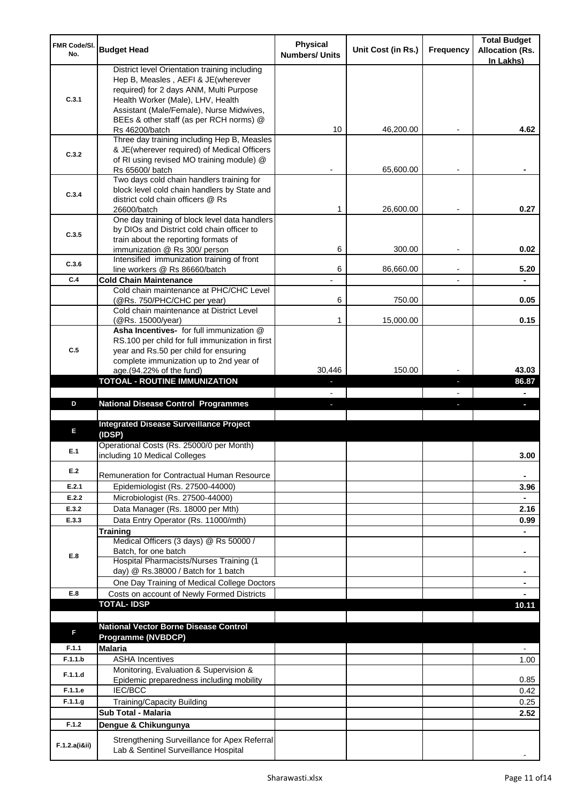| FMR Code/SI.<br>No. | <b>Budget Head</b>                                                                 | Physical<br><b>Numbers/ Units</b> | Unit Cost (in Rs.) | Frequency | <b>Total Budget</b><br><b>Allocation (Rs.</b><br>In Lakhs) |
|---------------------|------------------------------------------------------------------------------------|-----------------------------------|--------------------|-----------|------------------------------------------------------------|
|                     | District level Orientation training including                                      |                                   |                    |           |                                                            |
|                     | Hep B, Measles, AEFI & JE(wherever                                                 |                                   |                    |           |                                                            |
|                     | required) for 2 days ANM, Multi Purpose                                            |                                   |                    |           |                                                            |
| C.3.1               | Health Worker (Male), LHV, Health<br>Assistant (Male/Female), Nurse Midwives,      |                                   |                    |           |                                                            |
|                     | BEEs & other staff (as per RCH norms) @                                            |                                   |                    |           |                                                            |
|                     | Rs 46200/batch                                                                     | 10                                | 46,200.00          |           | 4.62                                                       |
|                     | Three day training including Hep B, Measles                                        |                                   |                    |           |                                                            |
| C.3.2               | & JE(wherever required) of Medical Officers                                        |                                   |                    |           |                                                            |
|                     | of RI using revised MO training module) @                                          |                                   | 65,600.00          |           |                                                            |
|                     | Rs 65600/ batch<br>Two days cold chain handlers training for                       |                                   |                    |           |                                                            |
|                     | block level cold chain handlers by State and                                       |                                   |                    |           |                                                            |
| C.3.4               | district cold chain officers @ Rs                                                  |                                   |                    |           |                                                            |
|                     | 26600/batch                                                                        | 1                                 | 26,600.00          |           | 0.27                                                       |
|                     | One day training of block level data handlers                                      |                                   |                    |           |                                                            |
| C.3.5               | by DIOs and District cold chain officer to<br>train about the reporting formats of |                                   |                    |           |                                                            |
|                     | immunization @ Rs 300/ person                                                      | 6                                 | 300.00             |           | 0.02                                                       |
|                     | Intensified immunization training of front                                         |                                   |                    |           |                                                            |
| C.3.6               | line workers @ Rs 86660/batch                                                      | 6                                 | 86,660.00          |           | 5.20                                                       |
| C.4                 | <b>Cold Chain Maintenance</b>                                                      |                                   |                    |           |                                                            |
|                     | Cold chain maintenance at PHC/CHC Level                                            | 6                                 | 750.00             |           | 0.05                                                       |
|                     | (@Rs. 750/PHC/CHC per year)<br>Cold chain maintenance at District Level            |                                   |                    |           |                                                            |
|                     | (@Rs. 15000/year)                                                                  | 1                                 | 15,000.00          |           | 0.15                                                       |
|                     | Asha Incentives- for full immunization @                                           |                                   |                    |           |                                                            |
|                     | RS.100 per child for full immunization in first                                    |                                   |                    |           |                                                            |
| C.5                 | year and Rs.50 per child for ensuring                                              |                                   |                    |           |                                                            |
|                     | complete immunization up to 2nd year of<br>age.(94.22% of the fund)                | 30,446                            | 150.00             |           | 43.03                                                      |
|                     | <b>TOTOAL - ROUTINE IMMUNIZATION</b>                                               |                                   |                    |           | 86.87                                                      |
|                     |                                                                                    |                                   |                    |           |                                                            |
|                     |                                                                                    |                                   |                    |           |                                                            |
| D                   | <b>National Disease Control Programmes</b>                                         |                                   |                    |           |                                                            |
|                     |                                                                                    |                                   |                    |           |                                                            |
| Е                   | <b>Integrated Disease Surveillance Project</b>                                     |                                   |                    |           |                                                            |
|                     | (IDSP)                                                                             |                                   |                    |           |                                                            |
| E.1                 | Operational Costs (Rs. 25000/0 per Month)                                          |                                   |                    |           |                                                            |
|                     | including 10 Medical Colleges                                                      |                                   |                    |           | 3.00                                                       |
| E.2                 | Remuneration for Contractual Human Resource                                        |                                   |                    |           | ۰                                                          |
| E.2.1               | Epidemiologist (Rs. 27500-44000)                                                   |                                   |                    |           | 3.96                                                       |
| E.2.2               | Microbiologist (Rs. 27500-44000)                                                   |                                   |                    |           |                                                            |
| E.3.2               | Data Manager (Rs. 18000 per Mth)                                                   |                                   |                    |           | 2.16                                                       |
| E.3.3               | Data Entry Operator (Rs. 11000/mth)                                                |                                   |                    |           | 0.99                                                       |
|                     | Training                                                                           |                                   |                    |           | ÷.                                                         |
|                     | Medical Officers (3 days) @ Rs 50000 /                                             |                                   |                    |           | ۰                                                          |
| E.8                 | Batch, for one batch<br>Hospital Pharmacists/Nurses Training (1                    |                                   |                    |           |                                                            |
|                     | day) @ Rs.38000 / Batch for 1 batch                                                |                                   |                    |           | ۰                                                          |
|                     | One Day Training of Medical College Doctors                                        |                                   |                    |           |                                                            |
| E.8                 | Costs on account of Newly Formed Districts                                         |                                   |                    |           |                                                            |
|                     | <b>TOTAL-IDSP</b>                                                                  |                                   |                    |           | 10.11                                                      |
|                     |                                                                                    |                                   |                    |           |                                                            |
| F                   | <b>National Vector Borne Disease Control</b>                                       |                                   |                    |           |                                                            |
| F.1.1               | Programme (NVBDCP)<br><b>Malaria</b>                                               |                                   |                    |           | $\overline{a}$                                             |
| F.1.1.b             | <b>ASHA Incentives</b>                                                             |                                   |                    |           | 1.00                                                       |
|                     | Monitoring, Evaluation & Supervision &                                             |                                   |                    |           |                                                            |
| F.1.1.d             | Epidemic preparedness including mobility                                           |                                   |                    |           | 0.85                                                       |
| F.1.1.e             | IEC/BCC                                                                            |                                   |                    |           | 0.42                                                       |
| F.1.1.g             | <b>Training/Capacity Building</b>                                                  |                                   |                    |           | 0.25                                                       |
|                     | <b>Sub Total - Malaria</b>                                                         |                                   |                    |           | 2.52                                                       |
| F.1.2               | Dengue & Chikungunya<br>Strengthening Surveillance for Apex Referral               |                                   |                    |           |                                                            |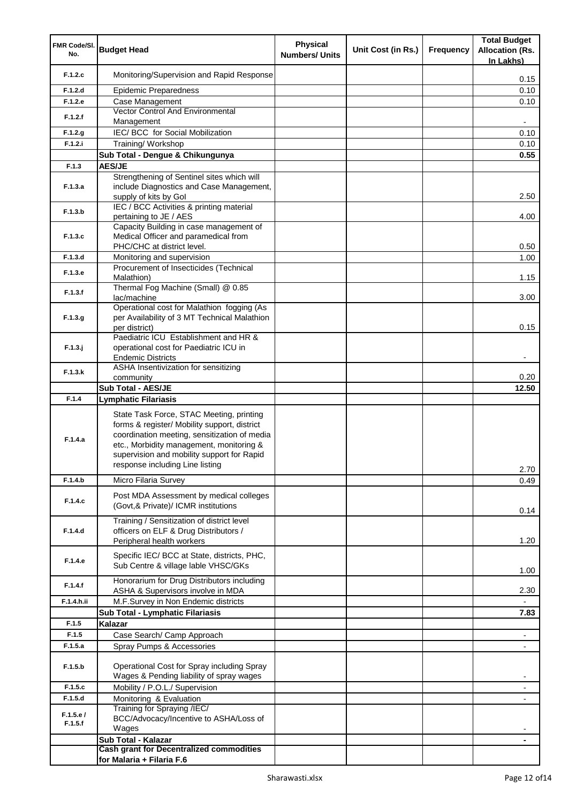| FMR Code/SI.<br>No. | <b>Budget Head</b>                                                                                                                                                                                                                                                    | <b>Physical</b><br><b>Numbers/ Units</b> | Unit Cost (in Rs.) | <b>Frequency</b> | <b>Total Budget</b><br><b>Allocation (Rs.</b> |
|---------------------|-----------------------------------------------------------------------------------------------------------------------------------------------------------------------------------------------------------------------------------------------------------------------|------------------------------------------|--------------------|------------------|-----------------------------------------------|
| F.1.2.c             | Monitoring/Supervision and Rapid Response                                                                                                                                                                                                                             |                                          |                    |                  | In Lakhs)                                     |
| F.1.2.d             | <b>Epidemic Preparedness</b>                                                                                                                                                                                                                                          |                                          |                    |                  | 0.15<br>0.10                                  |
| F.1.2.e             | Case Management                                                                                                                                                                                                                                                       |                                          |                    |                  | 0.10                                          |
| F.1.2.f             | Vector Control And Environmental                                                                                                                                                                                                                                      |                                          |                    |                  |                                               |
|                     | Management                                                                                                                                                                                                                                                            |                                          |                    |                  | ۰                                             |
| F.1.2.g<br>F.1.2.i  | IEC/ BCC for Social Mobilization<br>Training/ Workshop                                                                                                                                                                                                                |                                          |                    |                  | 0.10<br>0.10                                  |
|                     | Sub Total - Dengue & Chikungunya                                                                                                                                                                                                                                      |                                          |                    |                  | 0.55                                          |
| F.1.3               | <b>AES/JE</b>                                                                                                                                                                                                                                                         |                                          |                    |                  |                                               |
| F.1.3.a             | Strengthening of Sentinel sites which will<br>include Diagnostics and Case Management,<br>supply of kits by Gol                                                                                                                                                       |                                          |                    |                  | 2.50                                          |
| F.1.3.b             | IEC / BCC Activities & printing material<br>pertaining to JE / AES                                                                                                                                                                                                    |                                          |                    |                  | 4.00                                          |
| F.1.3.c             | Capacity Building in case management of<br>Medical Officer and paramedical from<br>PHC/CHC at district level.                                                                                                                                                         |                                          |                    |                  | 0.50                                          |
| F.1.3.d             | Monitoring and supervision                                                                                                                                                                                                                                            |                                          |                    |                  | 1.00                                          |
| F.1.3.e             | Procurement of Insecticides (Technical<br>Malathion)                                                                                                                                                                                                                  |                                          |                    |                  | 1.15                                          |
| F.1.3.f             | Thermal Fog Machine (Small) @ 0.85<br>lac/machine                                                                                                                                                                                                                     |                                          |                    |                  | 3.00                                          |
| F.1.3.g             | Operational cost for Malathion fogging (As<br>per Availability of 3 MT Technical Malathion<br>per district)                                                                                                                                                           |                                          |                    |                  | 0.15                                          |
| $F.1.3.$ j          | Paediatric ICU Establishment and HR &<br>operational cost for Paediatric ICU in<br><b>Endemic Districts</b>                                                                                                                                                           |                                          |                    |                  |                                               |
| F.1.3.k             | ASHA Insentivization for sensitizing                                                                                                                                                                                                                                  |                                          |                    |                  |                                               |
|                     | community                                                                                                                                                                                                                                                             |                                          |                    |                  | 0.20                                          |
| F.1.4               | <b>Sub Total - AES/JE</b><br>Lymphatic Filariasis                                                                                                                                                                                                                     |                                          |                    |                  | 12.50                                         |
| F.1.4.a             | State Task Force, STAC Meeting, printing<br>forms & register/ Mobility support, district<br>coordination meeting, sensitization of media<br>etc., Morbidity management, monitoring &<br>supervision and mobility support for Rapid<br>response including Line listing |                                          |                    |                  | 2.70                                          |
| F.1.4.b             | Micro Filaria Survey                                                                                                                                                                                                                                                  |                                          |                    |                  | 0.49                                          |
| F.1.4.c             | Post MDA Assessment by medical colleges<br>(Govt, & Private)/ ICMR institutions                                                                                                                                                                                       |                                          |                    |                  | 0.14                                          |
| F.1.4.d             | Training / Sensitization of district level<br>officers on ELF & Drug Distributors /<br>Peripheral health workers                                                                                                                                                      |                                          |                    |                  | 1.20                                          |
| F.1.4.e             | Specific IEC/ BCC at State, districts, PHC,<br>Sub Centre & village lable VHSC/GKs                                                                                                                                                                                    |                                          |                    |                  | 1.00                                          |
| F.1.4.f             | Honorarium for Drug Distributors including<br>ASHA & Supervisors involve in MDA                                                                                                                                                                                       |                                          |                    |                  | 2.30                                          |
| F.1.4.h.ii          | M.F.Survey in Non Endemic districts                                                                                                                                                                                                                                   |                                          |                    |                  |                                               |
|                     | Sub Total - Lymphatic Filariasis                                                                                                                                                                                                                                      |                                          |                    |                  | 7.83                                          |
| F.1.5<br>F.1.5      | Kalazar<br>Case Search/ Camp Approach                                                                                                                                                                                                                                 |                                          |                    |                  | $\blacksquare$                                |
| F.1.5.a             | Spray Pumps & Accessories                                                                                                                                                                                                                                             |                                          |                    |                  |                                               |
| F.1.5.b             | Operational Cost for Spray including Spray<br>Wages & Pending liability of spray wages                                                                                                                                                                                |                                          |                    |                  | ۰                                             |
| F.1.5.c             | Mobility / P.O.L./ Supervision                                                                                                                                                                                                                                        |                                          |                    |                  | -                                             |
| F.1.5.d             | Monitoring & Evaluation                                                                                                                                                                                                                                               |                                          |                    |                  |                                               |
| F.1.5.e/<br>F.1.5.f | Training for Spraying /IEC/<br>BCC/Advocacy/Incentive to ASHA/Loss of<br>Wages<br>Sub Total - Kalazar                                                                                                                                                                 |                                          |                    |                  | ۰                                             |
|                     | <b>Cash grant for Decentralized commodities</b>                                                                                                                                                                                                                       |                                          |                    |                  |                                               |
|                     | for Malaria + Filaria F.6                                                                                                                                                                                                                                             |                                          |                    |                  |                                               |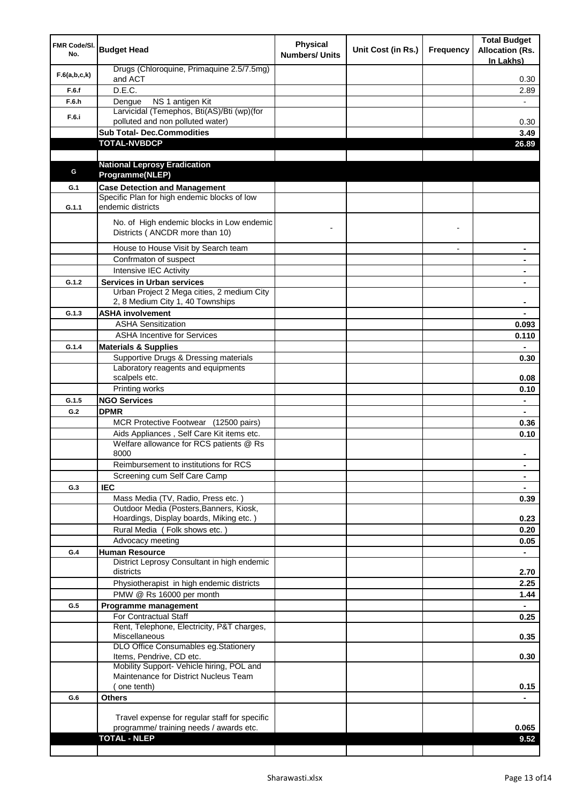| FMR Code/SI.<br>No. | <b>Budget Head</b>                                                                       | <b>Physical</b><br><b>Numbers/ Units</b> | Unit Cost (in Rs.) | Frequency                | <b>Total Budget</b><br><b>Allocation (Rs.</b><br>In Lakhs) |
|---------------------|------------------------------------------------------------------------------------------|------------------------------------------|--------------------|--------------------------|------------------------------------------------------------|
| F.6(a,b,c,k)        | Drugs (Chloroquine, Primaquine 2.5/7.5mg)<br>and ACT                                     |                                          |                    |                          | 0.30                                                       |
| F.6.f               | D.E.C.                                                                                   |                                          |                    |                          | 2.89                                                       |
| F.6.h               | NS 1 antigen Kit<br>Dengue                                                               |                                          |                    |                          |                                                            |
| F.6.i               | Larvicidal (Temephos, Bti(AS)/Bti (wp)(for<br>polluted and non polluted water)           |                                          |                    |                          | 0.30                                                       |
|                     | <b>Sub Total- Dec.Commodities</b>                                                        |                                          |                    |                          | 3.49                                                       |
|                     | <b>TOTAL-NVBDCP</b>                                                                      |                                          |                    |                          | 26.89                                                      |
|                     |                                                                                          |                                          |                    |                          |                                                            |
|                     | <b>National Leprosy Eradication</b>                                                      |                                          |                    |                          |                                                            |
| G                   | Programme(NLEP)                                                                          |                                          |                    |                          |                                                            |
| G.1                 | <b>Case Detection and Management</b>                                                     |                                          |                    |                          |                                                            |
|                     | Specific Plan for high endemic blocks of low                                             |                                          |                    |                          |                                                            |
| G.1.1               | endemic districts                                                                        |                                          |                    |                          |                                                            |
|                     | No. of High endemic blocks in Low endemic<br>Districts (ANCDR more than 10)              |                                          |                    |                          |                                                            |
|                     | House to House Visit by Search team                                                      |                                          |                    | $\overline{\phantom{a}}$ | ۰                                                          |
|                     | Confrmaton of suspect                                                                    |                                          |                    |                          | ۰                                                          |
|                     | Intensive IEC Activity                                                                   |                                          |                    |                          | ۰                                                          |
| G.1.2               | <b>Services in Urban services</b>                                                        |                                          |                    |                          |                                                            |
|                     | Urban Project 2 Mega cities, 2 medium City<br>2, 8 Medium City 1, 40 Townships           |                                          |                    |                          |                                                            |
| G.1.3               | <b>ASHA involvement</b>                                                                  |                                          |                    |                          |                                                            |
|                     | <b>ASHA Sensitization</b>                                                                |                                          |                    |                          | 0.093                                                      |
|                     | <b>ASHA Incentive for Services</b>                                                       |                                          |                    |                          | 0.110                                                      |
| G.1.4               | <b>Materials &amp; Supplies</b>                                                          |                                          |                    |                          |                                                            |
|                     | Supportive Drugs & Dressing materials                                                    |                                          |                    |                          | 0.30                                                       |
|                     | Laboratory reagents and equipments<br>scalpels etc.                                      |                                          |                    |                          | 0.08                                                       |
|                     | Printing works                                                                           |                                          |                    |                          | 0.10                                                       |
| G.1.5               | <b>NGO Services</b>                                                                      |                                          |                    |                          | ٠                                                          |
| G.2                 | <b>DPMR</b>                                                                              |                                          |                    |                          |                                                            |
|                     | MCR Protective Footwear (12500 pairs)                                                    |                                          |                    |                          | 0.36                                                       |
|                     | Aids Appliances, Self Care Kit items etc.                                                |                                          |                    |                          | 0.10                                                       |
|                     | Welfare allowance for RCS patients @ Rs<br>8000                                          |                                          |                    |                          | ۰                                                          |
|                     | Reimbursement to institutions for RCS                                                    |                                          |                    |                          | ٠                                                          |
|                     | Screening cum Self Care Camp                                                             |                                          |                    |                          |                                                            |
| G.3                 | <b>IEC</b>                                                                               |                                          |                    |                          |                                                            |
|                     | Mass Media (TV, Radio, Press etc.)                                                       |                                          |                    |                          | 0.39                                                       |
|                     | Outdoor Media (Posters, Banners, Kiosk,                                                  |                                          |                    |                          |                                                            |
|                     | Hoardings, Display boards, Miking etc.)<br>Rural Media (Folk shows etc.)                 |                                          |                    |                          | 0.23<br>0.20                                               |
|                     | Advocacy meeting                                                                         |                                          |                    |                          | 0.05                                                       |
| G.4                 | <b>Human Resource</b>                                                                    |                                          |                    |                          | ÷.                                                         |
|                     | District Leprosy Consultant in high endemic                                              |                                          |                    |                          |                                                            |
|                     | districts                                                                                |                                          |                    |                          | 2.70                                                       |
|                     | Physiotherapist in high endemic districts                                                |                                          |                    |                          | 2.25                                                       |
|                     | PMW @ Rs 16000 per month                                                                 |                                          |                    |                          | 1.44                                                       |
| G.5                 | Programme management                                                                     |                                          |                    |                          |                                                            |
|                     | For Contractual Staff                                                                    |                                          |                    |                          | 0.25                                                       |
|                     | Rent, Telephone, Electricity, P&T charges,<br>Miscellaneous                              |                                          |                    |                          | 0.35                                                       |
|                     | DLO Office Consumables eg.Stationery<br>Items, Pendrive, CD etc.                         |                                          |                    |                          | 0.30                                                       |
|                     | Mobility Support- Vehicle hiring, POL and                                                |                                          |                    |                          |                                                            |
|                     | Maintenance for District Nucleus Team                                                    |                                          |                    |                          |                                                            |
|                     | (one tenth)                                                                              |                                          |                    |                          | 0.15                                                       |
| G.6                 | <b>Others</b>                                                                            |                                          |                    |                          |                                                            |
|                     |                                                                                          |                                          |                    |                          |                                                            |
|                     | Travel expense for regular staff for specific<br>programme/ training needs / awards etc. |                                          |                    |                          | 0.065                                                      |
|                     | <b>TOTAL - NLEP</b>                                                                      |                                          |                    |                          | 9.52                                                       |
|                     |                                                                                          |                                          |                    |                          |                                                            |